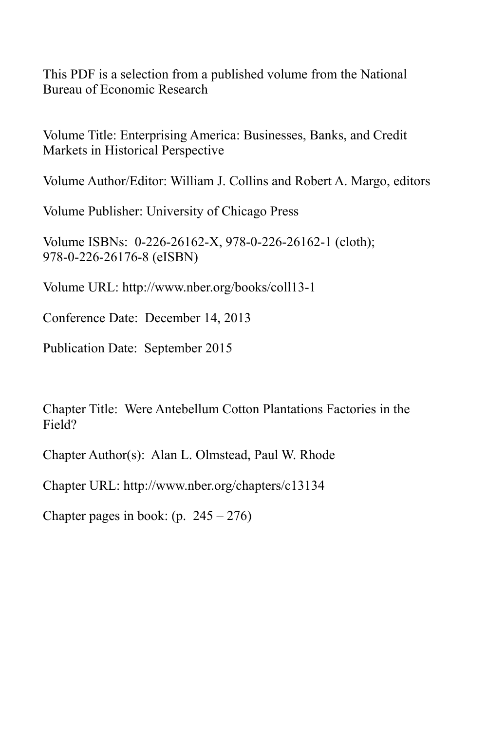This PDF is a selection from a published volume from the National Bureau of Economic Research

Volume Title: Enterprising America: Businesses, Banks, and Credit Markets in Historical Perspective

Volume Author/Editor: William J. Collins and Robert A. Margo, editors

Volume Publisher: University of Chicago Press

Volume ISBNs: 0-226-26162-X, 978-0-226-26162-1 (cloth); 978-0-226-26176-8 (eISBN)

Volume URL: http://www.nber.org/books/coll13-1

Conference Date: December 14, 2013

Publication Date: September 2015

Chapter Title: Were Antebellum Cotton Plantations Factories in the Field?

Chapter Author(s): Alan L. Olmstead, Paul W. Rhode

Chapter URL: http://www.nber.org/chapters/c13134

Chapter pages in book:  $(p. 245 - 276)$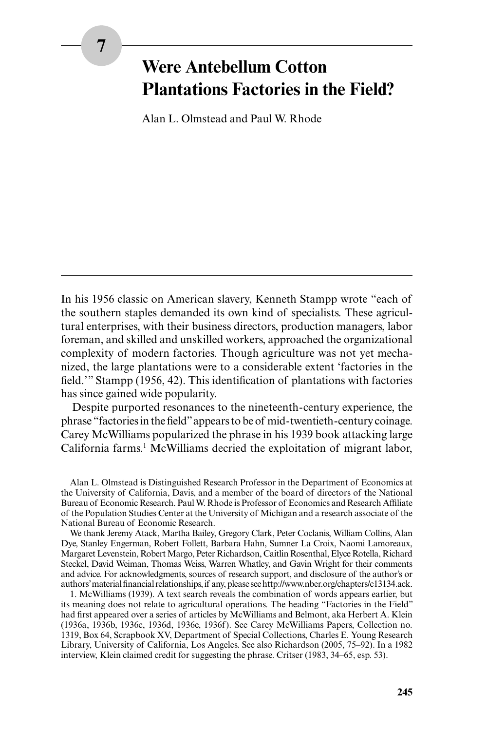## **7**

# **Were Antebellum Cotton Plantations Factories in the Field?**

Alan L. Olmstead and Paul W. Rhode

In his 1956 classic on American slavery, Kenneth Stampp wrote "each of the southern staples demanded its own kind of specialists. These agricultural enterprises, with their business directors, production managers, labor foreman, and skilled and unskilled workers, approached the organizational complexity of modern factories. Though agriculture was not yet mechanized, the large plantations were to a considerable extent 'factories in the field.'" Stampp (1956, 42). This identification of plantations with factories has since gained wide popularity.

Despite purported resonances to the nineteenth-century experience, the phrase "factories in the field" appears to be of mid-twentieth-century coinage. Carey McWilliams popularized the phrase in his 1939 book attacking large California farms.<sup>1</sup> McWilliams decried the exploitation of migrant labor,

Alan L. Olmstead is Distinguished Research Professor in the Department of Economics at the University of California, Davis, and a member of the board of directors of the National Bureau of Economic Research. Paul W. Rhode is Professor of Economics and Research Affiliate of the Population Studies Center at the University of Michigan and a research associate of the National Bureau of Economic Research.

We thank Jeremy Atack, Martha Bailey, Gregory Clark, Peter Coclanis, William Collins, Alan Dye, Stanley Engerman, Robert Follett, Barbara Hahn, Sumner La Croix, Naomi Lamoreaux, Margaret Levenstein, Robert Margo, Peter Richardson, Caitlin Rosenthal, Elyce Rotella, Richard Steckel, David Weiman, Thomas Weiss, Warren Whatley, and Gavin Wright for their comments and advice. For acknowledgments, sources of research support, and disclosure of the author's or authors' material financial relationships, if any, please see http://www.nber.org/chapters/c13134.ack.

1. McWilliams (1939). A text search reveals the combination of words appears earlier, but its meaning does not relate to agricultural operations. The heading "Factories in the Field" had first appeared over a series of articles by McWilliams and Belmont, aka Herbert A. Klein (1936a, 1936b, 1936c, 1936d, 1936e, 1936f). See Carey McWilliams Papers, Collection no. 1319, Box 64, Scrapbook XV, Department of Special Collections, Charles E. Young Research Library, University of California, Los Angeles. See also Richardson (2005, 75‒92). In a 1982 interview, Klein claimed credit for suggesting the phrase. Critser (1983, 34–65, esp. 53).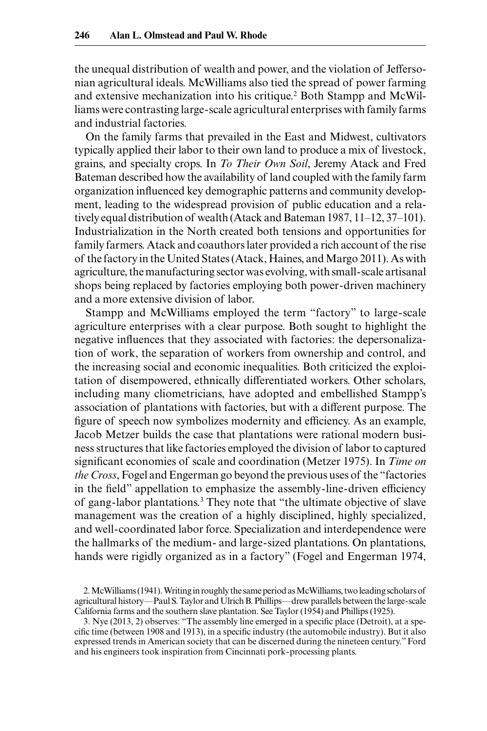the unequal distribution of wealth and power, and the violation of Jeffersonian agricultural ideals. McWilliams also tied the spread of power farming and extensive mechanization into his critique.<sup>2</sup> Both Stampp and McWilliams were contrasting large-scale agricultural enterprises with family farms and industrial factories.

On the family farms that prevailed in the East and Midwest, cultivators typically applied their labor to their own land to produce a mix of livestock, grains, and specialty crops. In *To Their Own Soil*, Jeremy Atack and Fred Bateman described how the availability of land coupled with the family farm organization influenced key demographic patterns and community development, leading to the widespread provision of public education and a relatively equal distribution of wealth (Atack and Bateman 1987, 11–12, 37–101). Industrialization in the North created both tensions and opportunities for family farmers. Atack and coauthors later provided a rich account of the rise of the factory in the United States (Atack, Haines, and Margo 2011). As with agriculture, the manufacturing sector was evolving, with small-scale artisanal shops being replaced by factories employing both power-driven machinery and a more extensive division of labor.

Stampp and McWilliams employed the term "factory" to large-scale agriculture enterprises with a clear purpose. Both sought to highlight the negative influences that they associated with factories: the depersonalization of work, the separation of workers from ownership and control, and the increasing social and economic inequalities. Both criticized the exploitation of disempowered, ethnically differentiated workers. Other scholars, including many cliometricians, have adopted and embellished Stampp's association of plantations with factories, but with a different purpose. The figure of speech now symbolizes modernity and efficiency. As an example, Jacob Metzer builds the case that plantations were rational modern business structures that like factories employed the division of labor to captured significant economies of scale and coordination (Metzer 1975). In *Time on the Cross*, Fogel and Engerman go beyond the previous uses of the "factories in the field" appellation to emphasize the assembly-line-driven efficiency of gang-labor plantations.<sup>3</sup> They note that "the ultimate objective of slave management was the creation of a highly disciplined, highly specialized, and well-coordinated labor force. Specialization and interdependence were the hallmarks of the medium- and large-sized plantations. On plantations, hands were rigidly organized as in a factory" (Fogel and Engerman 1974,

<sup>2.</sup> McWilliams (1941). Writing in roughly the same period as McWilliams, two leading scholars of agricultural history—Paul S. Taylor and Ulrich B. Phillips—drew parallels between the large-scale California farms and the southern slave plantation. See Taylor (1954) and Phillips (1925).

<sup>3.</sup> Nye (2013, 2) observes: "The assembly line emerged in a specific place (Detroit), at a specific time (between 1908 and 1913), in a specific industry (the automobile industry). But it also expressed trends in American society that can be discerned during the nineteen century." Ford and his engineers took inspiration from Cincinnati pork-processing plants.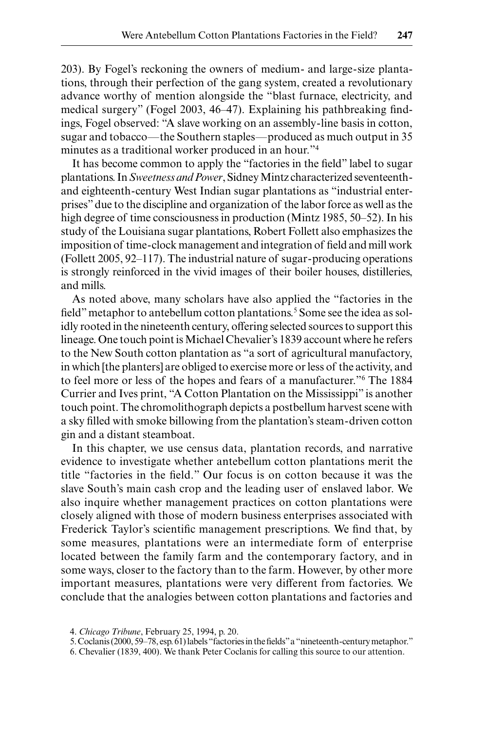203). By Fogel's reckoning the owners of medium- and large-size plantations, through their perfection of the gang system, created a revolutionary advance worthy of mention alongside the "blast furnace, electricity, and medical surgery" (Fogel 2003, 46–47). Explaining his pathbreaking findings, Fogel observed: "A slave working on an assembly-line basis in cotton, sugar and tobacco—the Southern staples—produced as much output in 35 minutes as a traditional worker produced in an hour."4

It has become common to apply the "factories in the field" label to sugar plantations. In *Sweetness and Power*, Sidney Mintz characterized seventeenthand eighteenth-century West Indian sugar plantations as "industrial enterprises" due to the discipline and organization of the labor force as well as the high degree of time consciousness in production (Mintz 1985, 50–52). In his study of the Louisiana sugar plantations, Robert Follett also emphasizes the imposition of time-clock management and integration of field and mill work (Follett 2005, 92–117). The industrial nature of sugar-producing operations is strongly reinforced in the vivid images of their boiler houses, distilleries, and mills.

As noted above, many scholars have also applied the "factories in the field" metaphor to antebellum cotton plantations.<sup>5</sup> Some see the idea as solidly rooted in the nineteenth century, offering selected sources to support this lineage. One touch point is Michael Chevalier's 1839 account where he refers to the New South cotton plantation as "a sort of agricultural manufactory, in which [the planters] are obliged to exercise more or less of the activity, and to feel more or less of the hopes and fears of a manufacturer."6 The 1884 Currier and Ives print, "A Cotton Plantation on the Mississippi" is another touch point. The chromolithograph depicts a postbellum harvest scene with a sky filled with smoke billowing from the plantation's steam-driven cotton gin and a distant steamboat.

In this chapter, we use census data, plantation records, and narrative evidence to investigate whether antebellum cotton plantations merit the title "factories in the field." Our focus is on cotton because it was the slave South's main cash crop and the leading user of enslaved labor. We also inquire whether management practices on cotton plantations were closely aligned with those of modern business enterprises associated with Frederick Taylor's scientific management prescriptions. We find that, by some measures, plantations were an intermediate form of enterprise located between the family farm and the contemporary factory, and in some ways, closer to the factory than to the farm. However, by other more important measures, plantations were very different from factories. We conclude that the analogies between cotton plantations and factories and

6. Chevalier (1839, 400). We thank Peter Coclanis for calling this source to our attention.

<sup>4.</sup> *Chicago Tribune*, February 25, 1994, p. 20.

<sup>5.</sup> Coclanis (2000, 59–78, esp. 61) labels "factories in the fields" a "nineteenth-century metaphor."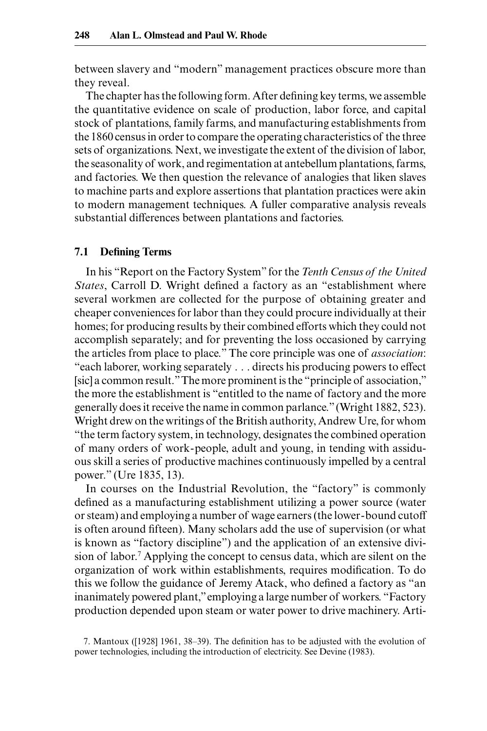between slavery and "modern" management practices obscure more than they reveal.

The chapter has the following form. After defining key terms, we assemble the quantitative evidence on scale of production, labor force, and capital stock of plantations, family farms, and manufacturing establishments from the 1860 census in order to compare the operating characteristics of the three sets of organizations. Next, we investigate the extent of the division of labor, the seasonality of work, and regimentation at antebellum plantations, farms, and factories. We then question the relevance of analogies that liken slaves to machine parts and explore assertions that plantation practices were akin to modern management techniques. A fuller comparative analysis reveals substantial differences between plantations and factories.

### **7.1 Defining Terms**

In his "Report on the Factory System" for the *Tenth Census of the United States*, Carroll D. Wright defined a factory as an "establishment where several workmen are collected for the purpose of obtaining greater and cheaper conveniences for labor than they could procure individually at their homes; for producing results by their combined efforts which they could not accomplish separately; and for preventing the loss occasioned by carrying the articles from place to place." The core principle was one of *association*: "each laborer, working separately . . . directs his producing powers to effect [sic] a common result." The more prominent is the "principle of association," the more the establishment is "entitled to the name of factory and the more generally does it receive the name in common parlance." (Wright 1882, 523). Wright drew on the writings of the British authority, Andrew Ure, for whom "the term factory system, in technology, designates the combined operation of many orders of work-people, adult and young, in tending with assiduous skill a series of productive machines continuously impelled by a central power." (Ure 1835, 13).

In courses on the Industrial Revolution, the "factory" is commonly defined as a manufacturing establishment utilizing a power source (water or steam) and employing a number of wage earners (the lower-bound cutoff is often around fifteen). Many scholars add the use of supervision (or what is known as "factory discipline") and the application of an extensive division of labor.7 Applying the concept to census data, which are silent on the organization of work within establishments, requires modification. To do this we follow the guidance of Jeremy Atack, who defined a factory as "an inanimately powered plant," employing a large number of workers. "Factory production depended upon steam or water power to drive machinery. Arti-

<sup>7.</sup> Mantoux ([1928] 1961, 38‒39). The definition has to be adjusted with the evolution of power technologies, including the introduction of electricity. See Devine (1983).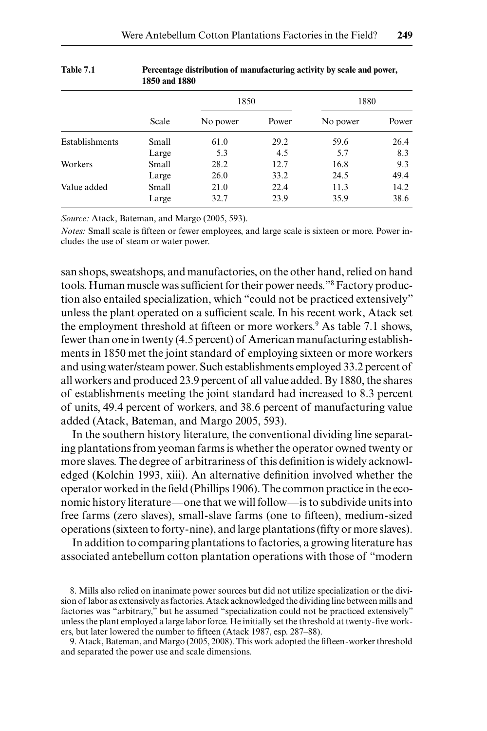|                | 1050 anu 1000 |          |       |          |       |
|----------------|---------------|----------|-------|----------|-------|
|                |               | 1850     |       | 1880     |       |
|                | Scale         | No power | Power | No power | Power |
| Establishments | Small         | 61.0     | 29.2  | 59.6     | 26.4  |
|                | Large         | 5.3      | 4.5   | 5.7      | 8.3   |
| Workers        | Small         | 28.2     | 12.7  | 16.8     | 9.3   |
|                | Large         | 26.0     | 33.2  | 24.5     | 49.4  |
| Value added    | Small         | 21.0     | 22.4  | 11.3     | 14.2  |
|                | Large         | 32.7     | 23.9  | 35.9     | 38.6  |

#### **Table 7.1 Percentage distribution of manufacturing activity by scale and power, 1850 and 1880**

*Source:* Atack, Bateman, and Margo (2005, 593).

*Notes:* Small scale is fifteen or fewer employees, and large scale is sixteen or more. Power includes the use of steam or water power.

san shops, sweatshops, and manufactories, on the other hand, relied on hand tools. Human muscle was sufficient for their power needs."8 Factory production also entailed specialization, which "could not be practiced extensively" unless the plant operated on a sufficient scale. In his recent work, Atack set the employment threshold at fifteen or more workers.<sup>9</sup> As table 7.1 shows, fewer than one in twenty (4.5 percent) of American manufacturing establishments in 1850 met the joint standard of employing sixteen or more workers and using water/steam power. Such establishments employed 33.2 percent of all workers and produced 23.9 percent of all value added. By 1880, the shares of establishments meeting the joint standard had increased to 8.3 percent of units, 49.4 percent of workers, and 38.6 percent of manufacturing value added (Atack, Bateman, and Margo 2005, 593).

In the southern history literature, the conventional dividing line separating plantations from yeoman farms is whether the operator owned twenty or more slaves. The degree of arbitrariness of this definition is widely acknowledged (Kolchin 1993, xiii). An alternative definition involved whether the operator worked in the field (Phillips 1906). The common practice in the economic history literature—one that we will follow—is to subdivide units into free farms (zero slaves), small-slave farms (one to fifteen), medium-sized operations (sixteen to forty-nine), and large plantations (fifty or more slaves).

In addition to comparing plantations to factories, a growing literature has associated antebellum cotton plantation operations with those of "modern

<sup>8.</sup> Mills also relied on inanimate power sources but did not utilize specialization or the division of labor as extensively as factories. Atack acknowledged the dividing line between mills and factories was "arbitrary," but he assumed "specialization could not be practiced extensively" unless the plant employed a large labor force. He initially set the threshold at twenty-five workers, but later lowered the number to fifteen (Atack 1987, esp. 287-88).

<sup>9.</sup> Atack, Bateman, and Margo (2005, 2008). This work adopted the fifteen-worker threshold and separated the power use and scale dimensions.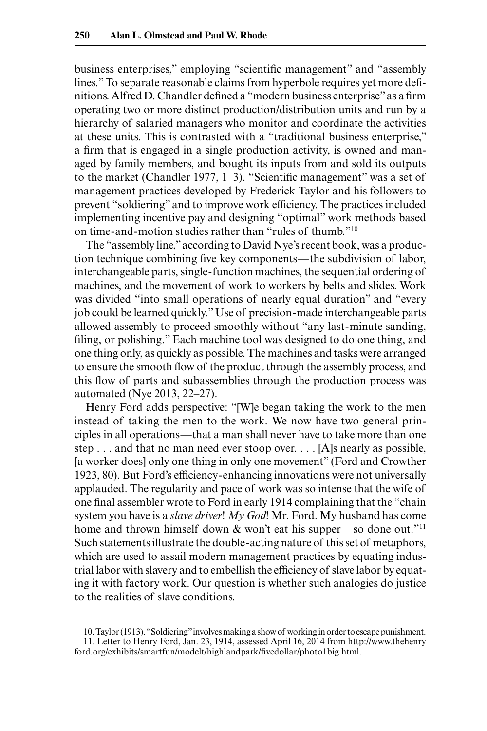business enterprises," employing "scientific management" and "assembly lines." To separate reasonable claims from hyperbole requires yet more definitions. Alfred D. Chandler defined a "modern business enterprise" as a firm operating two or more distinct production/distribution units and run by a hierarchy of salaried managers who monitor and coordinate the activities at these units. This is contrasted with a "traditional business enterprise," a firm that is engaged in a single production activity, is owned and managed by family members, and bought its inputs from and sold its outputs to the market (Chandler 1977, 1-3). "Scientific management" was a set of management practices developed by Frederick Taylor and his followers to prevent "soldiering" and to improve work efficiency. The practices included implementing incentive pay and designing "optimal" work methods based on time-and-motion studies rather than "rules of thumb."10

The "assembly line," according to David Nye's recent book, was a production technique combining five key components—the subdivision of labor, interchangeable parts, single-function machines, the sequential ordering of machines, and the movement of work to workers by belts and slides. Work was divided "into small operations of nearly equal duration" and "every job could be learned quickly." Use of precision-made interchangeable parts allowed assembly to proceed smoothly without "any last-minute sanding, filing, or polishing." Each machine tool was designed to do one thing, and one thing only, as quickly as possible. The machines and tasks were arranged to ensure the smooth flow of the product through the assembly process, and this flow of parts and subassemblies through the production process was automated (Nye 2013, 22‒27).

Henry Ford adds perspective: "[W]e began taking the work to the men instead of taking the men to the work. We now have two general principles in all operations—that a man shall never have to take more than one step . . . and that no man need ever stoop over. . . . [A]s nearly as possible, [a worker does] only one thing in only one movement" (Ford and Crowther 1923, 80). But Ford's efficiency-enhancing innovations were not universally applauded. The regularity and pace of work was so intense that the wife of one final assembler wrote to Ford in early 1914 complaining that the "chain system you have is a *slave driver*! *My God*! Mr. Ford. My husband has come home and thrown himself down & won't eat his supper—so done out."<sup>11</sup> Such statements illustrate the double-acting nature of this set of metaphors, which are used to assail modern management practices by equating industrial labor with slavery and to embellish the efficiency of slave labor by equating it with factory work. Our question is whether such analogies do justice to the realities of slave conditions.

10. Taylor (1913). "Soldiering" involves making a show of working in order to escape punishment.

<sup>11.</sup> Letter to Henry Ford, Jan. 23, 1914, assessed April 16, 2014 from http://www.thehenry ford.org/exhibits/smartfun/modelt/highlandpark/fivedollar/photo1big.html.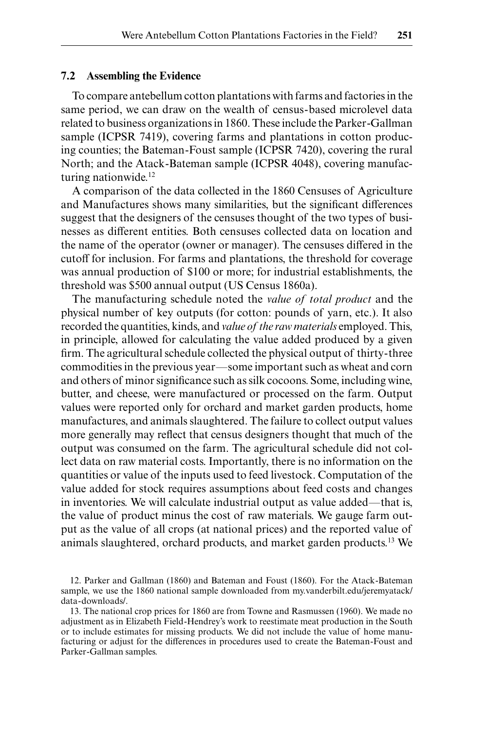## **7.2 Assembling the Evidence**

To compare antebellum cotton plantations with farms and factories in the same period, we can draw on the wealth of census-based microlevel data related to business organizations in 1860. These include the Parker-Gallman sample (ICPSR 7419), covering farms and plantations in cotton producing counties; the Bateman-Foust sample (ICPSR 7420), covering the rural North; and the Atack-Bateman sample (ICPSR 4048), covering manufacturing nationwide.<sup>12</sup>

A comparison of the data collected in the 1860 Censuses of Agriculture and Manufactures shows many similarities, but the significant differences suggest that the designers of the censuses thought of the two types of businesses as different entities. Both censuses collected data on location and the name of the operator (owner or manager). The censuses differed in the cutoff for inclusion. For farms and plantations, the threshold for coverage was annual production of \$100 or more; for industrial establishments, the threshold was \$500 annual output (US Census 1860a).

The manufacturing schedule noted the *value of total product* and the physical number of key outputs (for cotton: pounds of yarn, etc.). It also recorded the quantities, kinds, and *value of the raw materials* employed. This, in principle, allowed for calculating the value added produced by a given firm. The agricultural schedule collected the physical output of thirty-three commodities in the previous year—some important such as wheat and corn and others of minor significance such as silk cocoons. Some, including wine, butter, and cheese, were manufactured or processed on the farm. Output values were reported only for orchard and market garden products, home manufactures, and animals slaughtered. The failure to collect output values more generally may reflect that census designers thought that much of the output was consumed on the farm. The agricultural schedule did not collect data on raw material costs. Importantly, there is no information on the quantities or value of the inputs used to feed livestock. Computation of the value added for stock requires assumptions about feed costs and changes in inventories. We will calculate industrial output as value added—that is, the value of product minus the cost of raw materials. We gauge farm output as the value of all crops (at national prices) and the reported value of animals slaughtered, orchard products, and market garden products.13 We

<sup>12.</sup> Parker and Gallman (1860) and Bateman and Foust (1860). For the Atack-Bateman sample, we use the 1860 national sample downloaded from my.vanderbilt.edu/jeremyatack/ data-downloads/.

<sup>13.</sup> The national crop prices for 1860 are from Towne and Rasmussen (1960). We made no adjustment as in Elizabeth Field-Hendrey's work to reestimate meat production in the South or to include estimates for missing products. We did not include the value of home manufacturing or adjust for the differences in procedures used to create the Bateman-Foust and Parker-Gallman samples.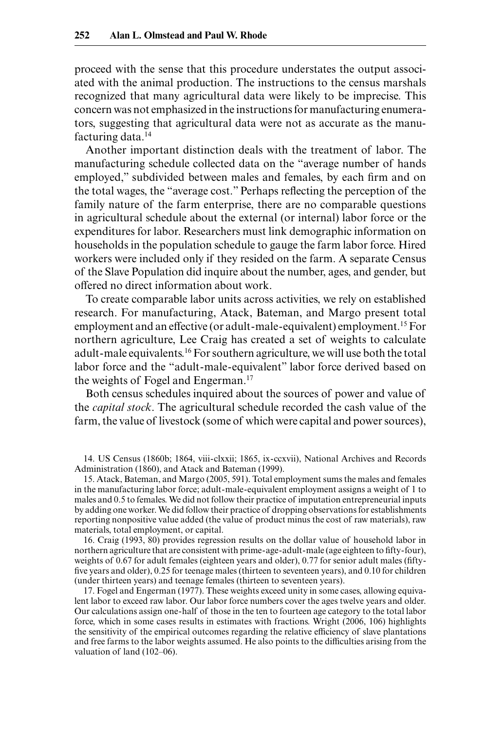proceed with the sense that this procedure understates the output associated with the animal production. The instructions to the census marshals recognized that many agricultural data were likely to be imprecise. This concern was not emphasized in the instructions for manufacturing enumerators, suggesting that agricultural data were not as accurate as the manufacturing data.14

Another important distinction deals with the treatment of labor. The manufacturing schedule collected data on the "average number of hands employed," subdivided between males and females, by each firm and on the total wages, the "average cost." Perhaps reflecting the perception of the family nature of the farm enterprise, there are no comparable questions in agricultural schedule about the external (or internal) labor force or the expenditures for labor. Researchers must link demographic information on households in the population schedule to gauge the farm labor force. Hired workers were included only if they resided on the farm. A separate Census of the Slave Population did inquire about the number, ages, and gender, but offered no direct information about work.

To create comparable labor units across activities, we rely on established research. For manufacturing, Atack, Bateman, and Margo present total employment and an effective (or adult-male-equivalent) employment.<sup>15</sup> For northern agriculture, Lee Craig has created a set of weights to calculate adult-male equivalents.16 For southern agriculture, we will use both the total labor force and the "adult-male-equivalent" labor force derived based on the weights of Fogel and Engerman.17

Both census schedules inquired about the sources of power and value of the *capital stock*. The agricultural schedule recorded the cash value of the farm, the value of livestock (some of which were capital and power sources),

14. US Census (1860b; 1864, viii-clxxii; 1865, ix-ccxvii), National Archives and Records Administration (1860), and Atack and Bateman (1999).

15. Atack, Bateman, and Margo (2005, 591). Total employment sums the males and females in the manufacturing labor force; adult-male-equivalent employment assigns a weight of 1 to males and 0.5 to females. We did not follow their practice of imputation entrepreneurial inputs by adding one worker. We did follow their practice of dropping observations for establishments reporting nonpositive value added (the value of product minus the cost of raw materials), raw materials, total employment, or capital.

16. Craig (1993, 80) provides regression results on the dollar value of household labor in northern agriculture that are consistent with prime-age-adult-male (age eighteen to fifty-four), weights of 0.67 for adult females (eighteen years and older), 0.77 for senior adult males (fiftyfive years and older), 0.25 for teenage males (thirteen to seventeen years), and 0.10 for children (under thirteen years) and teenage females (thirteen to seventeen years).

17. Fogel and Engerman (1977). These weights exceed unity in some cases, allowing equivalent labor to exceed raw labor. Our labor force numbers cover the ages twelve years and older. Our calculations assign one-half of those in the ten to fourteen age category to the total labor force, which in some cases results in estimates with fractions. Wright (2006, 106) highlights the sensitivity of the empirical outcomes regarding the relative efficiency of slave plantations and free farms to the labor weights assumed. He also points to the difficulties arising from the valuation of land (102–06).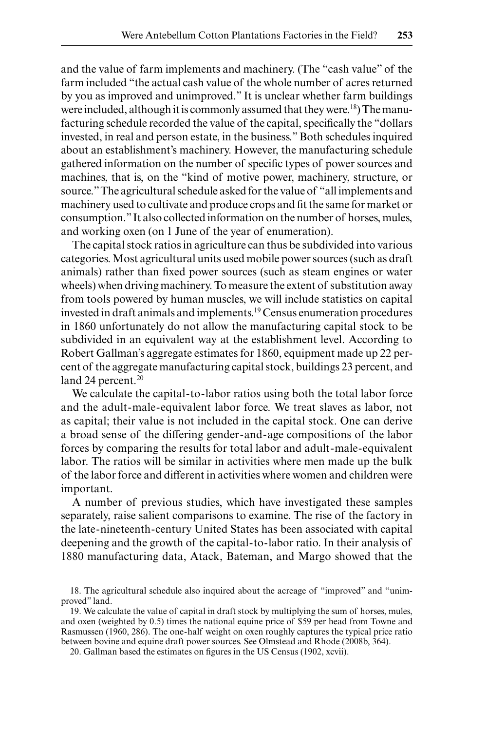and the value of farm implements and machinery. (The "cash value" of the farm included "the actual cash value of the whole number of acres returned by you as improved and unimproved." It is unclear whether farm buildings were included, although it is commonly assumed that they were.<sup>18</sup>) The manufacturing schedule recorded the value of the capital, specifically the "dollars invested, in real and person estate, in the business." Both schedules inquired about an establishment's machinery. However, the manufacturing schedule gathered information on the number of specific types of power sources and machines, that is, on the "kind of motive power, machinery, structure, or source." The agricultural schedule asked for the value of "all implements and machinery used to cultivate and produce crops and fit the same for market or consumption." It also collected information on the number of horses, mules, and working oxen (on 1 June of the year of enumeration).

The capital stock ratios in agriculture can thus be subdivided into various categories. Most agricultural units used mobile power sources (such as draft animals) rather than fixed power sources (such as steam engines or water wheels) when driving machinery. To measure the extent of substitution away from tools powered by human muscles, we will include statistics on capital invested in draft animals and implements.19 Census enumeration procedures in 1860 unfortunately do not allow the manufacturing capital stock to be subdivided in an equivalent way at the establishment level. According to Robert Gallman's aggregate estimates for 1860, equipment made up 22 percent of the aggregate manufacturing capital stock, buildings 23 percent, and land 24 percent.<sup>20</sup>

We calculate the capital-to-labor ratios using both the total labor force and the adult-male-equivalent labor force. We treat slaves as labor, not as capital; their value is not included in the capital stock. One can derive a broad sense of the differing gender-and-age compositions of the labor forces by comparing the results for total labor and adult-male-equivalent labor. The ratios will be similar in activities where men made up the bulk of the labor force and different in activities where women and children were important.

A number of previous studies, which have investigated these samples separately, raise salient comparisons to examine. The rise of the factory in the late-nineteenth-century United States has been associated with capital deepening and the growth of the capital-to-labor ratio. In their analysis of 1880 manufacturing data, Atack, Bateman, and Margo showed that the

<sup>18.</sup> The agricultural schedule also inquired about the acreage of "improved" and "unimproved" land.

<sup>19.</sup> We calculate the value of capital in draft stock by multiplying the sum of horses, mules, and oxen (weighted by 0.5) times the national equine price of \$59 per head from Towne and Rasmussen (1960, 286). The one-half weight on oxen roughly captures the typical price ratio between bovine and equine draft power sources. See Olmstead and Rhode (2008b, 364).

<sup>20.</sup> Gallman based the estimates on figures in the US Census (1902, xcvii).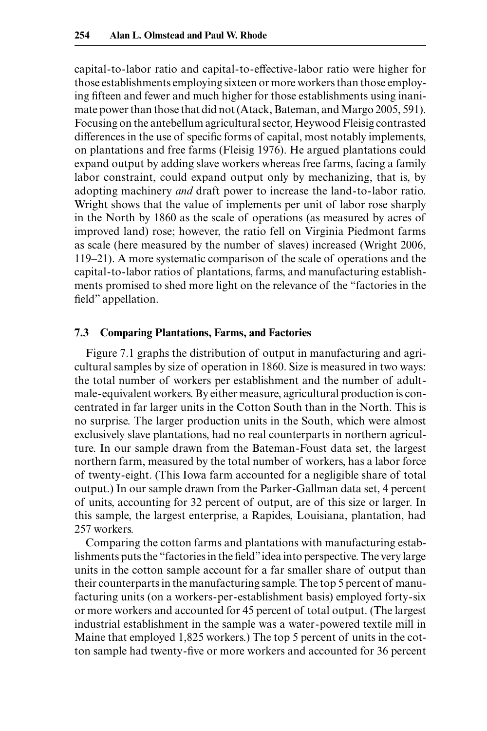capital-to-labor ratio and capital-to-effective-labor ratio were higher for those establishments employing sixteen or more workers than those employing fifteen and fewer and much higher for those establishments using inanimate power than those that did not (Atack, Bateman, and Margo 2005, 591). Focusing on the antebellum agricultural sector, Heywood Fleisig contrasted differences in the use of specific forms of capital, most notably implements, on plantations and free farms (Fleisig 1976). He argued plantations could expand output by adding slave workers whereas free farms, facing a family labor constraint, could expand output only by mechanizing, that is, by adopting machinery *and* draft power to increase the land-to-labor ratio. Wright shows that the value of implements per unit of labor rose sharply in the North by 1860 as the scale of operations (as measured by acres of improved land) rose; however, the ratio fell on Virginia Piedmont farms as scale (here measured by the number of slaves) increased (Wright 2006, 119‒21). A more systematic comparison of the scale of operations and the capital-to-labor ratios of plantations, farms, and manufacturing establishments promised to shed more light on the relevance of the "factories in the field" appellation.

## **7.3 Comparing Plantations, Farms, and Factories**

Figure 7.1 graphs the distribution of output in manufacturing and agricultural samples by size of operation in 1860. Size is measured in two ways: the total number of workers per establishment and the number of adultmale-equivalent workers. By either measure, agricultural production is concentrated in far larger units in the Cotton South than in the North. This is no surprise. The larger production units in the South, which were almost exclusively slave plantations, had no real counterparts in northern agriculture. In our sample drawn from the Bateman-Foust data set, the largest northern farm, measured by the total number of workers, has a labor force of twenty-eight. (This Iowa farm accounted for a negligible share of total output.) In our sample drawn from the Parker-Gallman data set, 4 percent of units, accounting for 32 percent of output, are of this size or larger. In this sample, the largest enterprise, a Rapides, Louisiana, plantation, had 257 workers.

Comparing the cotton farms and plantations with manufacturing establishments puts the "factories in the field" idea into perspective. The very large units in the cotton sample account for a far smaller share of output than their counterparts in the manufacturing sample. The top 5 percent of manufacturing units (on a workers-per-establishment basis) employed forty-six or more workers and accounted for 45 percent of total output. (The largest industrial establishment in the sample was a water-powered textile mill in Maine that employed 1,825 workers.) The top 5 percent of units in the cotton sample had twenty-five or more workers and accounted for 36 percent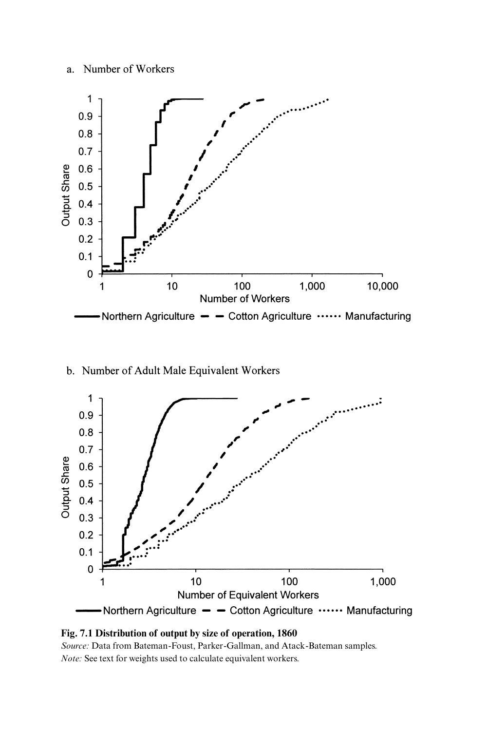## a. Number of Workers



b. Number of Adult Male Equivalent Workers





*Source:* Data from Bateman-Foust, Parker-Gallman, and Atack-Bateman samples. *Note:* See text for weights used to calculate equivalent workers.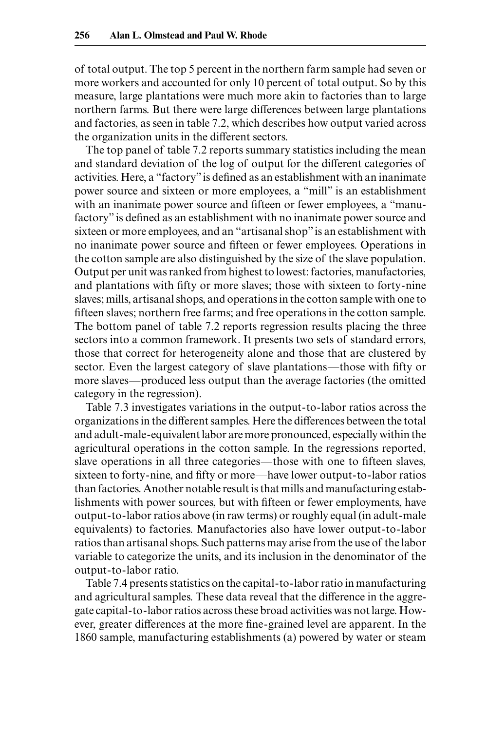of total output. The top 5 percent in the northern farm sample had seven or more workers and accounted for only 10 percent of total output. So by this measure, large plantations were much more akin to factories than to large northern farms. But there were large differences between large plantations and factories, as seen in table 7.2, which describes how output varied across the organization units in the different sectors.

The top panel of table 7.2 reports summary statistics including the mean and standard deviation of the log of output for the different categories of activities. Here, a "factory" is defined as an establishment with an inanimate power source and sixteen or more employees, a "mill" is an establishment with an inanimate power source and fifteen or fewer employees, a "manufactory" is defined as an establishment with no inanimate power source and sixteen or more employees, and an "artisanal shop" is an establishment with no inanimate power source and fifteen or fewer employees. Operations in the cotton sample are also distinguished by the size of the slave population. Output per unit was ranked from highest to lowest: factories, manufactories, and plantations with fifty or more slaves; those with sixteen to forty-nine slaves; mills, artisanal shops, and operations in the cotton sample with one to fifteen slaves; northern free farms; and free operations in the cotton sample. The bottom panel of table 7.2 reports regression results placing the three sectors into a common framework. It presents two sets of standard errors, those that correct for heterogeneity alone and those that are clustered by sector. Even the largest category of slave plantations—those with fifty or more slaves—produced less output than the average factories (the omitted category in the regression).

Table 7.3 investigates variations in the output-to-labor ratios across the organizations in the different samples. Here the differences between the total and adult-male-equivalent labor are more pronounced, especially within the agricultural operations in the cotton sample. In the regressions reported, slave operations in all three categories—those with one to fifteen slaves, sixteen to forty-nine, and fifty or more—have lower output-to-labor ratios than factories. Another notable result is that mills and manufacturing establishments with power sources, but with fifteen or fewer employments, have output-to-labor ratios above (in raw terms) or roughly equal (in adult-male equivalents) to factories. Manufactories also have lower output-to-labor ratios than artisanal shops. Such patterns may arise from the use of the labor variable to categorize the units, and its inclusion in the denominator of the output-to-labor ratio.

Table 7.4 presents statistics on the capital-to-labor ratio in manufacturing and agricultural samples. These data reveal that the difference in the aggregate capital-to-labor ratios across these broad activities was not large. However, greater differences at the more fine-grained level are apparent. In the 1860 sample, manufacturing establishments (a) powered by water or steam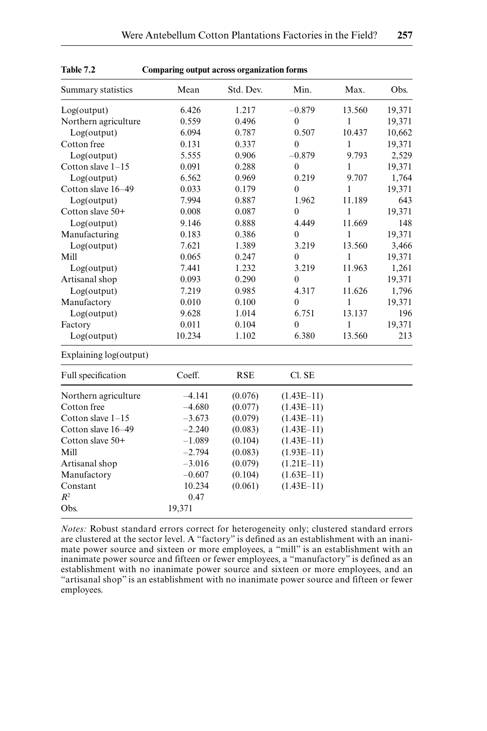| 1 avie 7.2             | Comparing output across organization forms |            |                  |        |        |
|------------------------|--------------------------------------------|------------|------------------|--------|--------|
| Summary statistics     | Mean                                       | Std. Dev.  | Min.             | Max.   | Obs.   |
| Log(output)            | 6.426                                      | 1.217      | $-0.879$         | 13.560 | 19,371 |
| Northern agriculture   | 0.559                                      | 0.496      | $\mathbf{0}$     | 1      | 19,371 |
| Log(output)            | 6.094                                      | 0.787      | 0.507            | 10.437 | 10,662 |
| Cotton free            | 0.131                                      | 0.337      | $\mathbf{0}$     | 1      | 19,371 |
| Log(output)            | 5.555                                      | 0.906      | $-0.879$         | 9.793  | 2,529  |
| Cotton slave $1-15$    | 0.091                                      | 0.288      | $\boldsymbol{0}$ | 1      | 19,371 |
| Log(output)            | 6.562                                      | 0.969      | 0.219            | 9.707  | 1,764  |
| Cotton slave 16-49     | 0.033                                      | 0.179      | $\overline{0}$   | 1      | 19,371 |
| Log(output)            | 7.994                                      | 0.887      | 1.962            | 11.189 | 643    |
| Cotton slave 50+       | 0.008                                      | 0.087      | $\overline{0}$   | 1      | 19,371 |
| Log(output)            | 9.146                                      | 0.888      | 4.449            | 11.669 | 148    |
| Manufacturing          | 0.183                                      | 0.386      | $\mathbf{0}$     | 1      | 19,371 |
| Log(output)            | 7.621                                      | 1.389      | 3.219            | 13.560 | 3,466  |
| Mill                   | 0.065                                      | 0.247      | $\mathbf{0}$     | 1      | 19,371 |
| Log(output)            | 7.441                                      | 1.232      | 3.219            | 11.963 | 1,261  |
| Artisanal shop         | 0.093                                      | 0.290      | $\mathbf{0}$     | 1      | 19,371 |
| Log(output)            | 7.219                                      | 0.985      | 4.317            | 11.626 | 1,796  |
| Manufactory            | 0.010                                      | 0.100      | $\theta$         | 1      | 19,371 |
| Log(output)            | 9.628                                      | 1.014      | 6.751            | 13.137 | 196    |
| Factory                | 0.011                                      | 0.104      | $\overline{0}$   | 1      | 19,371 |
| Log(output)            | 10.234                                     | 1.102      | 6.380            | 13.560 | 213    |
| Explaining log(output) |                                            |            |                  |        |        |
| Full specification     | Coeff.                                     | <b>RSE</b> | Cl. SE           |        |        |
| Northern agriculture   | $-4.141$                                   | (0.076)    | $(1.43E-11)$     |        |        |
| Cotton free            | $-4.680$                                   | (0.077)    | $(1.43E-11)$     |        |        |
| Cotton slave $1-15$    | $-3.673$                                   | (0.079)    | $(1.43E-11)$     |        |        |
| Cotton slave 16-49     | $-2.240$                                   | (0.083)    | $(1.43E-11)$     |        |        |
| Cotton slave 50+       | $-1.089$                                   | (0.104)    | $(1.43E-11)$     |        |        |
| Mill                   | $-2.794$                                   | (0.083)    | $(1.93E-11)$     |        |        |
| Artisanal shop         | $-3.016$                                   | (0.079)    | $(1.21E-11)$     |        |        |
| Manufactory            | $-0.607$                                   | (0.104)    | $(1.63E-11)$     |        |        |
| Constant               | 10.234                                     | (0.061)    | $(1.43E-11)$     |        |        |
| $R^2$                  | 0.47                                       |            |                  |        |        |
| Obs.                   | 19,371                                     |            |                  |        |        |

| <b>Table 7.2</b> |  | Comparing output across organization forms |  |
|------------------|--|--------------------------------------------|--|
|                  |  |                                            |  |

*Notes:* Robust standard errors correct for heterogeneity only; clustered standard errors are clustered at the sector level. A "factory" is defined as an establishment with an inanimate power source and sixteen or more employees, a "mill" is an establishment with an inanimate power source and fifteen or fewer employees, a "manufactory" is defined as an establishment with no inanimate power source and sixteen or more employees, and an "artisanal shop" is an establishment with no inanimate power source and fifteen or fewer employees.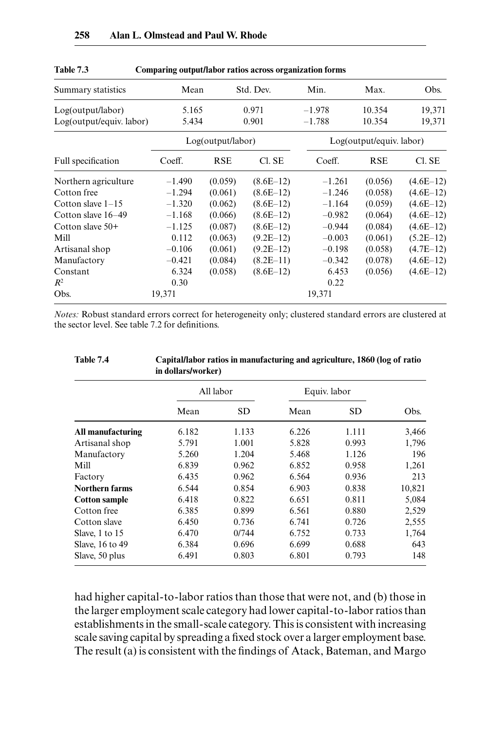| Summary statistics       | Mean     |                   | Std. Dev.   | Min.     | Max.                     | Obs.        |
|--------------------------|----------|-------------------|-------------|----------|--------------------------|-------------|
| Log(output/labor)        | 5.165    |                   | 0.971       | $-1.978$ | 10.354                   | 19,371      |
| Log(output/equiv. labor) | 5.434    |                   | 0.901       | $-1.788$ | 10.354                   | 19,371      |
|                          |          | Log(output/labor) |             |          | Log(output/equiv. labor) |             |
| Full specification       | Coeff.   | <b>RSE</b>        | Cl. SE      | Coeff.   | <b>RSE</b>               | Cl. SE      |
| Northern agriculture     | $-1.490$ | (0.059)           | $(8.6E-12)$ | $-1.261$ | (0.056)                  | $(4.6E-12)$ |
| Cotton free              | $-1.294$ | (0.061)           | $(8.6E-12)$ | $-1.246$ | (0.058)                  | $(4.6E-12)$ |
| Cotton slave $1-15$      | $-1.320$ | (0.062)           | $(8.6E-12)$ | $-1.164$ | (0.059)                  | $(4.6E-12)$ |
| Cotton slave 16–49       | $-1.168$ | (0.066)           | $(8.6E-12)$ | $-0.982$ | (0.064)                  | $(4.6E-12)$ |
| Cotton slave $50+$       | $-1.125$ | (0.087)           | $(8.6E-12)$ | $-0.944$ | (0.084)                  | $(4.6E-12)$ |
| Mill                     | 0.112    | (0.063)           | $(9.2E-12)$ | $-0.003$ | (0.061)                  | $(5.2E-12)$ |
| Artisanal shop           | $-0.106$ | (0.061)           | $(9.2E-12)$ | $-0.198$ | (0.058)                  | $(4.7E-12)$ |
| Manufactory              | $-0.421$ | (0.084)           | $(8.2E-11)$ | $-0.342$ | (0.078)                  | $(4.6E-12)$ |
| Constant                 | 6.324    | (0.058)           | $(8.6E-12)$ | 6.453    | (0.056)                  | $(4.6E-12)$ |
| $R^2$                    | 0.30     |                   |             | 0.22     |                          |             |
| Obs.                     | 19,371   |                   |             | 19,371   |                          |             |

| <b>Table 7.3</b> | Comparing output/labor ratios across organization forms |  |
|------------------|---------------------------------------------------------|--|
|                  |                                                         |  |

*Notes:* Robust standard errors correct for heterogeneity only; clustered standard errors are clustered at the sector level. See table 7.2 for definitions.

| 1.101e / 4            | Capital/labor fatios in manufacturing and agriculture, 1860 (10g of fatio<br>in dollars/worker) |           |       |              |        |
|-----------------------|-------------------------------------------------------------------------------------------------|-----------|-------|--------------|--------|
|                       |                                                                                                 | All labor |       | Equiv. labor |        |
|                       | Mean                                                                                            | SD        | Mean  | <b>SD</b>    | Obs.   |
| All manufacturing     | 6.182                                                                                           | 1.133     | 6.226 | 1.111        | 3,466  |
| Artisanal shop        | 5.791                                                                                           | 1.001     | 5.828 | 0.993        | 1,796  |
| Manufactory           | 5.260                                                                                           | 1.204     | 5.468 | 1.126        | 196    |
| Mill                  | 6.839                                                                                           | 0.962     | 6.852 | 0.958        | 1,261  |
| Factory               | 6.435                                                                                           | 0.962     | 6.564 | 0.936        | 213    |
| <b>Northern farms</b> | 6.544                                                                                           | 0.854     | 6.903 | 0.838        | 10,821 |
| <b>Cotton sample</b>  | 6.418                                                                                           | 0.822     | 6.651 | 0.811        | 5,084  |
| Cotton free           | 6.385                                                                                           | 0.899     | 6.561 | 0.880        | 2,529  |
| Cotton slave          | 6.450                                                                                           | 0.736     | 6.741 | 0.726        | 2,555  |
| Slave, 1 to 15        | 6.470                                                                                           | 0/744     | 6.752 | 0.733        | 1,764  |
| Slave, 16 to 49       | 6.384                                                                                           | 0.696     | 6.699 | 0.688        | 643    |
| Slave, 50 plus        | 6.491                                                                                           | 0.803     | 6.801 | 0.793        | 148    |

**Table 7.4 Capital/labor ratios in manufacturing and agriculture, 1860 (log of ratio** 

had higher capital-to-labor ratios than those that were not, and (b) those in the larger employment scale category had lower capital-to-labor ratios than establishments in the small-scale category. This is consistent with increasing scale saving capital by spreading a fixed stock over a larger employment base. The result (a) is consistent with the findings of Atack, Bateman, and Margo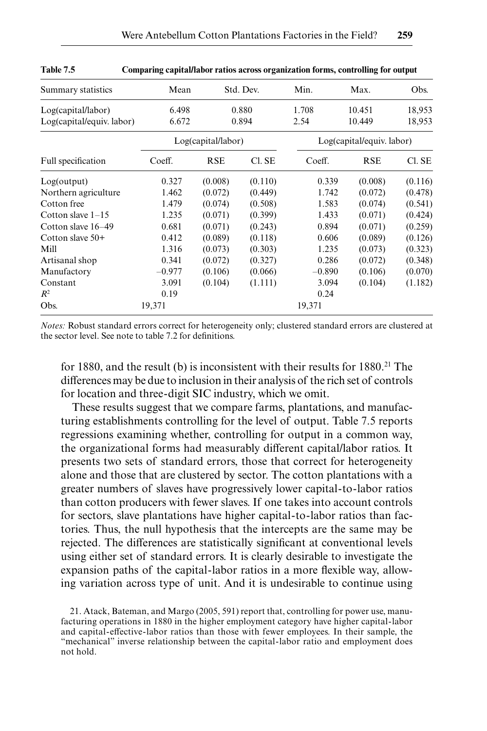| Summary statistics        | Mean     |                    | Std. Dev. | Min.     | Max.                      | Obs.    |  |
|---------------------------|----------|--------------------|-----------|----------|---------------------------|---------|--|
| Log(capital/labor)        | 6.498    |                    | 0.880     | 1.708    | 10.451                    | 18,953  |  |
| Log(capital/equiv. labor) | 6.672    |                    | 0.894     | 2.54     | 10.449                    | 18,953  |  |
|                           |          | Log(capital/labor) |           |          | Log(capital/equiv. labor) |         |  |
| Full specification        | Coeff.   | <b>RSE</b>         | Cl. SE    | Coeff.   | <b>RSE</b>                | Cl. SE  |  |
| Log(output)               | 0.327    | (0.008)            | (0.110)   | 0.339    | (0.008)                   | (0.116) |  |
| Northern agriculture      | 1.462    | (0.072)            | (0.449)   | 1.742    | (0.072)                   | (0.478) |  |
| Cotton free               | 1.479    | (0.074)            | (0.508)   | 1.583    | (0.074)                   | (0.541) |  |
| Cotton slave $1-15$       | 1.235    | (0.071)            | (0.399)   | 1.433    | (0.071)                   | (0.424) |  |
| Cotton slave 16–49        | 0.681    | (0.071)            | (0.243)   | 0.894    | (0.071)                   | (0.259) |  |
| Cotton slave $50+$        | 0.412    | (0.089)            | (0.118)   | 0.606    | (0.089)                   | (0.126) |  |
| Mill                      | 1.316    | (0.073)            | (0.303)   | 1.235    | (0.073)                   | (0.323) |  |
| Artisanal shop            | 0.341    | (0.072)            | (0.327)   | 0.286    | (0.072)                   | (0.348) |  |
| Manufactory               | $-0.977$ | (0.106)            | (0.066)   | $-0.890$ | (0.106)                   | (0.070) |  |
| Constant                  | 3.091    | (0.104)            | (1.111)   | 3.094    | (0.104)                   | (1.182) |  |
| $R^2$                     | 0.19     |                    |           | 0.24     |                           |         |  |
| Obs.                      | 19,371   |                    |           | 19,371   |                           |         |  |

| <b>Table 7.5</b> |  | Comparing capital/labor ratios across organization forms, controlling for output |  |
|------------------|--|----------------------------------------------------------------------------------|--|
|                  |  |                                                                                  |  |

*Notes:* Robust standard errors correct for heterogeneity only; clustered standard errors are clustered at the sector level. See note to table 7.2 for definitions.

for 1880, and the result (b) is inconsistent with their results for  $1880<sup>21</sup>$ . The differences may be due to inclusion in their analysis of the rich set of controls for location and three-digit SIC industry, which we omit.

These results suggest that we compare farms, plantations, and manufacturing establishments controlling for the level of output. Table 7.5 reports regressions examining whether, controlling for output in a common way, the organizational forms had measurably different capital/labor ratios. It presents two sets of standard errors, those that correct for heterogeneity alone and those that are clustered by sector. The cotton plantations with a greater numbers of slaves have progressively lower capital-to-labor ratios than cotton producers with fewer slaves. If one takes into account controls for sectors, slave plantations have higher capital-to-labor ratios than factories. Thus, the null hypothesis that the intercepts are the same may be rejected. The differences are statistically significant at conventional levels using either set of standard errors. It is clearly desirable to investigate the expansion paths of the capital-labor ratios in a more flexible way, allowing variation across type of unit. And it is undesirable to continue using

<sup>21.</sup> Atack, Bateman, and Margo (2005, 591) report that, controlling for power use, manufacturing operations in 1880 in the higher employment category have higher capital-labor and capital-effective-labor ratios than those with fewer employees. In their sample, the "mechanical" inverse relationship between the capital-labor ratio and employment does not hold.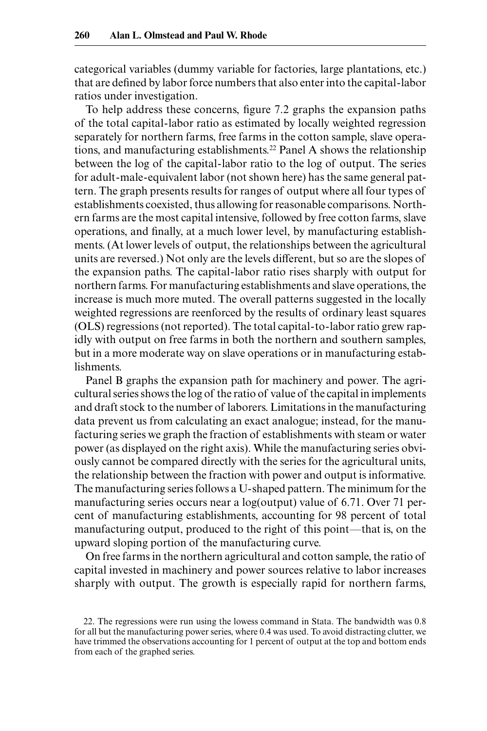categorical variables (dummy variable for factories, large plantations, etc.) that are defined by labor force numbers that also enter into the capital-labor ratios under investigation.

To help address these concerns, figure 7.2 graphs the expansion paths of the total capital-labor ratio as estimated by locally weighted regression separately for northern farms, free farms in the cotton sample, slave operations, and manufacturing establishments.22 Panel A shows the relationship between the log of the capital-labor ratio to the log of output. The series for adult-male-equivalent labor (not shown here) has the same general pattern. The graph presents results for ranges of output where all four types of establishments coexisted, thus allowing for reasonable comparisons. Northern farms are the most capital intensive, followed by free cotton farms, slave operations, and finally, at a much lower level, by manufacturing establishments. (At lower levels of output, the relationships between the agricultural units are reversed.) Not only are the levels different, but so are the slopes of the expansion paths. The capital-labor ratio rises sharply with output for northern farms. For manufacturing establishments and slave operations, the increase is much more muted. The overall patterns suggested in the locally weighted regressions are reenforced by the results of ordinary least squares (OLS) regressions (not reported). The total capital-to-labor ratio grew rapidly with output on free farms in both the northern and southern samples, but in a more moderate way on slave operations or in manufacturing establishments.

Panel B graphs the expansion path for machinery and power. The agricultural series shows the log of the ratio of value of the capital in implements and draft stock to the number of laborers. Limitations in the manufacturing data prevent us from calculating an exact analogue; instead, for the manufacturing series we graph the fraction of establishments with steam or water power (as displayed on the right axis). While the manufacturing series obviously cannot be compared directly with the series for the agricultural units, the relationship between the fraction with power and output is informative. The manufacturing series follows a U-shaped pattern. The minimum for the manufacturing series occurs near a log(output) value of 6.71. Over 71 percent of manufacturing establishments, accounting for 98 percent of total manufacturing output, produced to the right of this point—that is, on the upward sloping portion of the manufacturing curve.

On free farms in the northern agricultural and cotton sample, the ratio of capital invested in machinery and power sources relative to labor increases sharply with output. The growth is especially rapid for northern farms,

<sup>22.</sup> The regressions were run using the lowess command in Stata. The bandwidth was 0.8 for all but the manufacturing power series, where 0.4 was used. To avoid distracting clutter, we have trimmed the observations accounting for 1 percent of output at the top and bottom ends from each of the graphed series.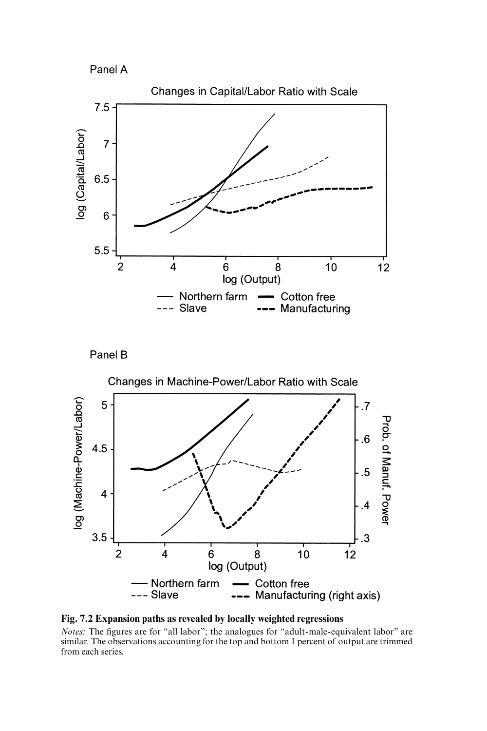







**Fig. 7.2 Expansion paths as revealed by locally weighted regressions**

*Notes:* The figures are for "all labor"; the analogues for "adult-male-equivalent labor" are similar. The observations accounting for the top and bottom 1 percent of output are trimmed from each series.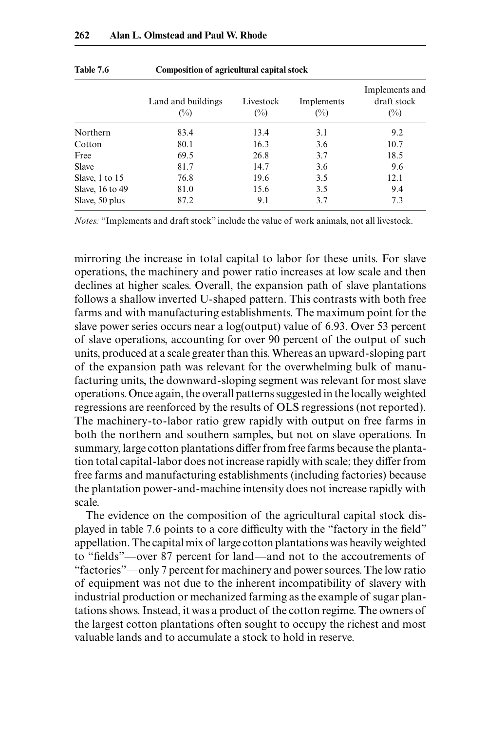|                 | Land and buildings<br>$(\%)$ | Livestock<br>$(\%)$ | Implements<br>(%) | Implements and<br>draft stock<br>$(\%)$ |
|-----------------|------------------------------|---------------------|-------------------|-----------------------------------------|
|                 |                              |                     |                   |                                         |
| Northern        | 83.4                         | 13.4                | 3.1               | 9.2                                     |
| Cotton          | 80.1                         | 16.3                | 3.6               | 10.7                                    |
| Free            | 69.5                         | 26.8                | 3.7               | 18.5                                    |
| <b>Slave</b>    | 81.7                         | 14.7                | 3.6               | 9.6                                     |
| Slave, 1 to 15  | 76.8                         | 19.6                | 3.5               | 12.1                                    |
| Slave, 16 to 49 | 81.0                         | 15.6                | 3.5               | 9.4                                     |
| Slave, 50 plus  | 87.2                         | 9.1                 | 3.7               | 7.3                                     |

**Table 7.6 Composition of agricultural capital stock**

*Notes:* "Implements and draft stock" include the value of work animals, not all livestock.

mirroring the increase in total capital to labor for these units. For slave operations, the machinery and power ratio increases at low scale and then declines at higher scales. Overall, the expansion path of slave plantations follows a shallow inverted U-shaped pattern. This contrasts with both free farms and with manufacturing establishments. The maximum point for the slave power series occurs near a log(output) value of 6.93. Over 53 percent of slave operations, accounting for over 90 percent of the output of such units, produced at a scale greater than this. Whereas an upward-sloping part of the expansion path was relevant for the overwhelming bulk of manufacturing units, the downward-sloping segment was relevant for most slave operations. Once again, the overall patterns suggested in the locally weighted regressions are reenforced by the results of OLS regressions (not reported). The machinery-to-labor ratio grew rapidly with output on free farms in both the northern and southern samples, but not on slave operations. In summary, large cotton plantations differ from free farms because the plantation total capital-labor does not increase rapidly with scale; they differ from free farms and manufacturing establishments (including factories) because the plantation power-and-machine intensity does not increase rapidly with scale.

The evidence on the composition of the agricultural capital stock displayed in table 7.6 points to a core difficulty with the "factory in the field" appellation. The capital mix of large cotton plantations was heavily weighted to "fields"—over 87 percent for land—and not to the accoutrements of "factories"—only 7 percent for machinery and power sources. The low ratio of equipment was not due to the inherent incompatibility of slavery with industrial production or mechanized farming as the example of sugar plantations shows. Instead, it was a product of the cotton regime. The owners of the largest cotton plantations often sought to occupy the richest and most valuable lands and to accumulate a stock to hold in reserve.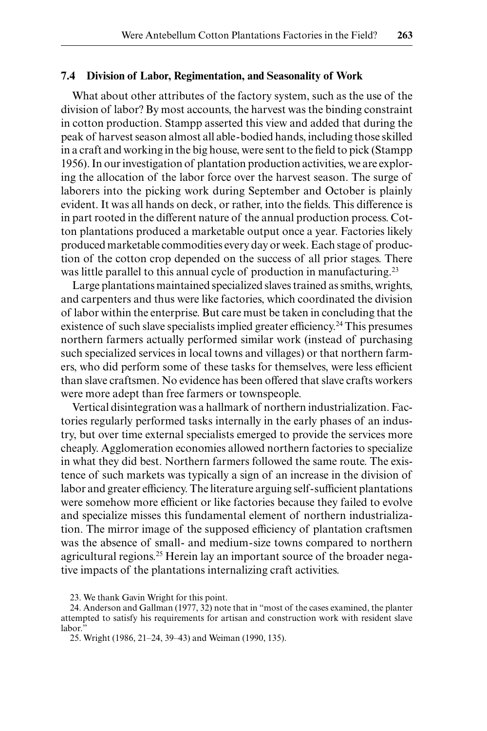## **7.4 Division of Labor, Regimentation, and Seasonality of Work**

What about other attributes of the factory system, such as the use of the division of labor? By most accounts, the harvest was the binding constraint in cotton production. Stampp asserted this view and added that during the peak of harvest season almost all able-bodied hands, including those skilled in a craft and working in the big house, were sent to the field to pick (Stampp 1956). In our investigation of plantation production activities, we are exploring the allocation of the labor force over the harvest season. The surge of laborers into the picking work during September and October is plainly evident. It was all hands on deck, or rather, into the fields. This difference is in part rooted in the different nature of the annual production process. Cotton plantations produced a marketable output once a year. Factories likely produced marketable commodities every day or week. Each stage of production of the cotton crop depended on the success of all prior stages. There was little parallel to this annual cycle of production in manufacturing.<sup>23</sup>

Large plantations maintained specialized slaves trained as smiths, wrights, and carpenters and thus were like factories, which coordinated the division of labor within the enterprise. But care must be taken in concluding that the existence of such slave specialists implied greater efficiency.<sup>24</sup> This presumes northern farmers actually performed similar work (instead of purchasing such specialized services in local towns and villages) or that northern farmers, who did perform some of these tasks for themselves, were less efficient than slave craftsmen. No evidence has been offered that slave crafts workers were more adept than free farmers or townspeople.

Vertical disintegration was a hallmark of northern industrialization. Factories regularly performed tasks internally in the early phases of an industry, but over time external specialists emerged to provide the services more cheaply. Agglomeration economies allowed northern factories to specialize in what they did best. Northern farmers followed the same route. The existence of such markets was typically a sign of an increase in the division of labor and greater efficiency. The literature arguing self-sufficient plantations were somehow more efficient or like factories because they failed to evolve and specialize misses this fundamental element of northern industrialization. The mirror image of the supposed efficiency of plantation craftsmen was the absence of small- and medium-size towns compared to northern agricultural regions.<sup>25</sup> Herein lay an important source of the broader negative impacts of the plantations internalizing craft activities.

23. We thank Gavin Wright for this point.

24. Anderson and Gallman (1977, 32) note that in "most of the cases examined, the planter attempted to satisfy his requirements for artisan and construction work with resident slave labor.

25. Wright (1986, 21‒24, 39‒43) and Weiman (1990, 135).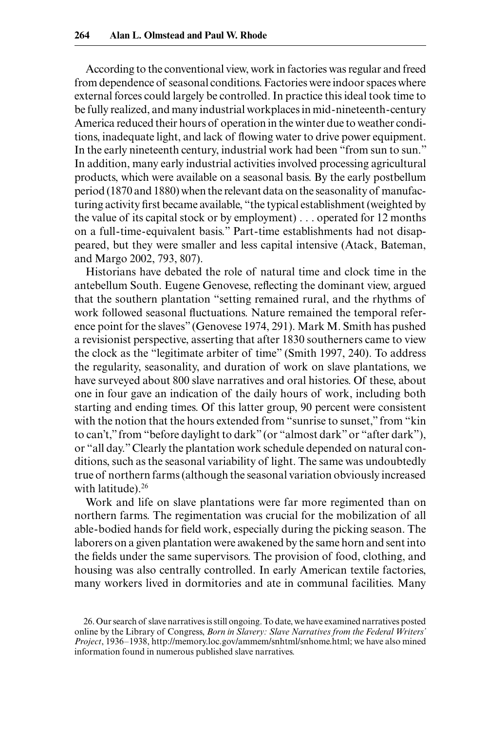According to the conventional view, work in factories was regular and freed from dependence of seasonal conditions. Factories were indoor spaces where external forces could largely be controlled. In practice this ideal took time to be fully realized, and many industrial workplaces in mid-nineteenth-century America reduced their hours of operation in the winter due to weather conditions, inadequate light, and lack of flowing water to drive power equipment. In the early nineteenth century, industrial work had been "from sun to sun." In addition, many early industrial activities involved processing agricultural products, which were available on a seasonal basis. By the early postbellum period (1870 and 1880) when the relevant data on the seasonality of manufacturing activity first became available, "the typical establishment (weighted by the value of its capital stock or by employment) . . . operated for 12 months on a full-time-equivalent basis." Part-time establishments had not disappeared, but they were smaller and less capital intensive (Atack, Bateman, and Margo 2002, 793, 807).

Historians have debated the role of natural time and clock time in the antebellum South. Eugene Genovese, reflecting the dominant view, argued that the southern plantation "setting remained rural, and the rhythms of work followed seasonal fluctuations. Nature remained the temporal reference point for the slaves" (Genovese 1974, 291). Mark M. Smith has pushed a revisionist perspective, asserting that after 1830 southerners came to view the clock as the "legitimate arbiter of time" (Smith 1997, 240). To address the regularity, seasonality, and duration of work on slave plantations, we have surveyed about 800 slave narratives and oral histories. Of these, about one in four gave an indication of the daily hours of work, including both starting and ending times. Of this latter group, 90 percent were consistent with the notion that the hours extended from "sunrise to sunset," from "kin to can't," from "before daylight to dark" (or "almost dark" or "after dark"), or "all day." Clearly the plantation work schedule depended on natural conditions, such as the seasonal variability of light. The same was undoubtedly true of northern farms (although the seasonal variation obviously increased with latitude).<sup>26</sup>

Work and life on slave plantations were far more regimented than on northern farms. The regimentation was crucial for the mobilization of all able-bodied hands for field work, especially during the picking season. The laborers on a given plantation were awakened by the same horn and sent into the fields under the same supervisors. The provision of food, clothing, and housing was also centrally controlled. In early American textile factories, many workers lived in dormitories and ate in communal facilities. Many

<sup>26.</sup> Our search of slave narratives is still ongoing. To date, we have examined narratives posted online by the Library of Congress, *Born in Slavery: Slave Narratives from the Federal Writers' Project*, 1936–1938, http://memory.loc.gov/ammem/snhtml/snhome.html; we have also mined information found in numerous published slave narratives.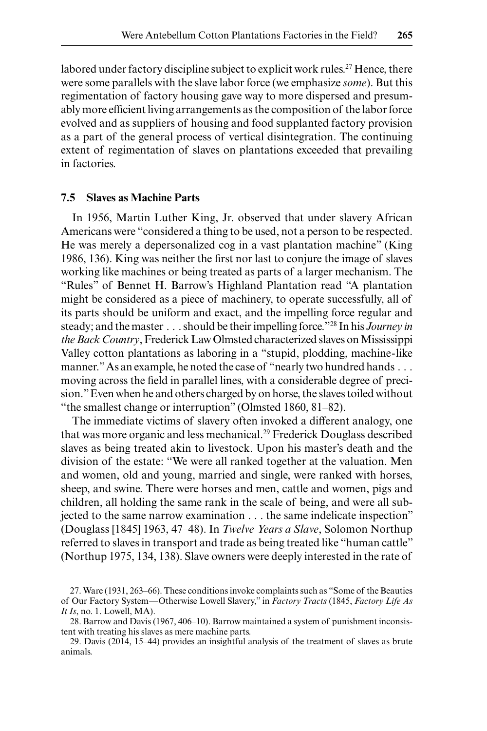labored under factory discipline subject to explicit work rules.<sup>27</sup> Hence, there were some parallels with the slave labor force (we emphasize *some*). But this regimentation of factory housing gave way to more dispersed and presumably more efficient living arrangements as the composition of the labor force evolved and as suppliers of housing and food supplanted factory provision as a part of the general process of vertical disintegration. The continuing extent of regimentation of slaves on plantations exceeded that prevailing in factories.

## **7.5 Slaves as Machine Parts**

In 1956, Martin Luther King, Jr. observed that under slavery African Americans were "considered a thing to be used, not a person to be respected. He was merely a depersonalized cog in a vast plantation machine" (King 1986, 136). King was neither the first nor last to conjure the image of slaves working like machines or being treated as parts of a larger mechanism. The "Rules" of Bennet H. Barrow's Highland Plantation read "A plantation might be considered as a piece of machinery, to operate successfully, all of its parts should be uniform and exact, and the impelling force regular and steady; and the master . . . should be their impelling force."28 In his *Journey in the Back Country*, Frederick Law Olmsted characterized slaves on Mississippi Valley cotton plantations as laboring in a "stupid, plodding, machine-like manner." As an example, he noted the case of "nearly two hundred hands . . . moving across the field in parallel lines, with a considerable degree of precision." Even when he and others charged by on horse, the slaves toiled without "the smallest change or interruption" (Olmsted 1860, 81‒82).

The immediate victims of slavery often invoked a different analogy, one that was more organic and less mechanical.29 Frederick Douglass described slaves as being treated akin to livestock. Upon his master's death and the division of the estate: "We were all ranked together at the valuation. Men and women, old and young, married and single, were ranked with horses, sheep, and swine. There were horses and men, cattle and women, pigs and children, all holding the same rank in the scale of being, and were all subjected to the same narrow examination . . . the same indelicate inspection" (Douglass [1845] 1963, 47‒48). In *Twelve Years a Slave*, Solomon Northup referred to slaves in transport and trade as being treated like "human cattle" (Northup 1975, 134, 138). Slave owners were deeply interested in the rate of

<sup>27.</sup> Ware (1931, 263–66). These conditions invoke complaints such as "Some of the Beauties of Our Factory System—Otherwise Lowell Slavery," in *Factory Tracts* (1845, *Factory Life As It Is*, no. 1. Lowell, MA).

<sup>28.</sup> Barrow and Davis (1967, 406–10). Barrow maintained a system of punishment inconsistent with treating his slaves as mere machine parts.

<sup>29.</sup> Davis (2014, 15–44) provides an insightful analysis of the treatment of slaves as brute animals.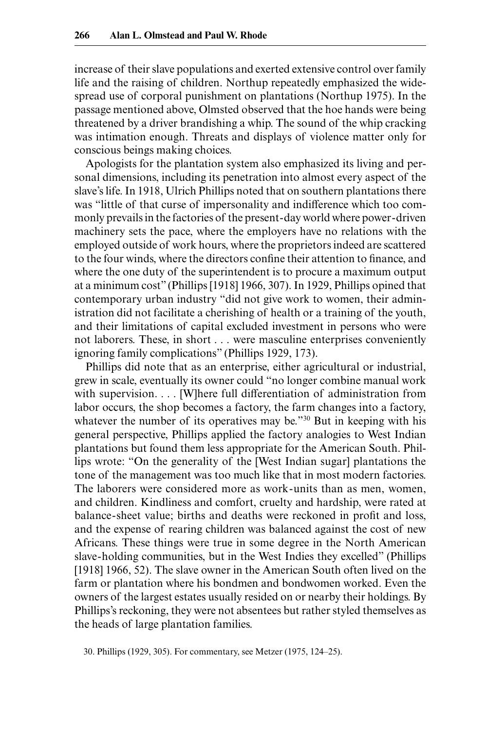increase of their slave populations and exerted extensive control over family life and the raising of children. Northup repeatedly emphasized the widespread use of corporal punishment on plantations (Northup 1975). In the passage mentioned above, Olmsted observed that the hoe hands were being threatened by a driver brandishing a whip. The sound of the whip cracking was intimation enough. Threats and displays of violence matter only for conscious beings making choices.

Apologists for the plantation system also emphasized its living and personal dimensions, including its penetration into almost every aspect of the slave's life. In 1918, Ulrich Phillips noted that on southern plantations there was "little of that curse of impersonality and indifference which too commonly prevails in the factories of the present-day world where power-driven machinery sets the pace, where the employers have no relations with the employed outside of work hours, where the proprietors indeed are scattered to the four winds, where the directors confine their attention to finance, and where the one duty of the superintendent is to procure a maximum output at a minimum cost" (Phillips [1918] 1966, 307). In 1929, Phillips opined that contemporary urban industry "did not give work to women, their administration did not facilitate a cherishing of health or a training of the youth, and their limitations of capital excluded investment in persons who were not laborers. These, in short . . . were masculine enterprises conveniently ignoring family complications" (Phillips 1929, 173).

Phillips did note that as an enterprise, either agricultural or industrial, grew in scale, eventually its owner could "no longer combine manual work with supervision. . . . [W]here full differentiation of administration from labor occurs, the shop becomes a factory, the farm changes into a factory, whatever the number of its operatives may be."<sup>30</sup> But in keeping with his general perspective, Phillips applied the factory analogies to West Indian plantations but found them less appropriate for the American South. Phillips wrote: "On the generality of the [West Indian sugar] plantations the tone of the management was too much like that in most modern factories. The laborers were considered more as work-units than as men, women, and children. Kindliness and comfort, cruelty and hardship, were rated at balance-sheet value; births and deaths were reckoned in profit and loss, and the expense of rearing children was balanced against the cost of new Africans. These things were true in some degree in the North American slave-holding communities, but in the West Indies they excelled" (Phillips [1918] 1966, 52). The slave owner in the American South often lived on the farm or plantation where his bondmen and bondwomen worked. Even the owners of the largest estates usually resided on or nearby their holdings. By Phillips's reckoning, they were not absentees but rather styled themselves as the heads of large plantation families.

<sup>30.</sup> Phillips (1929, 305). For commentary, see Metzer (1975, 124‒25).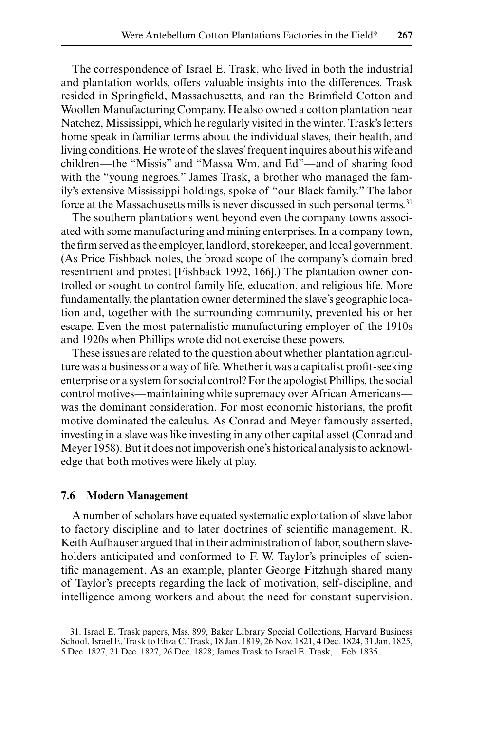The correspondence of Israel E. Trask, who lived in both the industrial and plantation worlds, offers valuable insights into the differences. Trask resided in Springfield, Massachusetts, and ran the Brimfield Cotton and Woollen Manufacturing Company. He also owned a cotton plantation near Natchez, Mississippi, which he regularly visited in the winter. Trask's letters home speak in familiar terms about the individual slaves, their health, and living conditions. He wrote of the slaves' frequent inquires about his wife and children—the "Missis" and "Massa Wm. and Ed"—and of sharing food with the "young negroes." James Trask, a brother who managed the family's extensive Mississippi holdings, spoke of "our Black family." The labor force at the Massachusetts mills is never discussed in such personal terms.<sup>31</sup>

The southern plantations went beyond even the company towns associated with some manufacturing and mining enterprises. In a company town, the firm served as the employer, landlord, storekeeper, and local government. (As Price Fishback notes, the broad scope of the company's domain bred resentment and protest [Fishback 1992, 166].) The plantation owner controlled or sought to control family life, education, and religious life. More fundamentally, the plantation owner determined the slave's geographic location and, together with the surrounding community, prevented his or her escape. Even the most paternalistic manufacturing employer of the 1910s and 1920s when Phillips wrote did not exercise these powers.

These issues are related to the question about whether plantation agriculture was a business or a way of life. Whether it was a capitalist profit-seeking enterprise or a system for social control? For the apologist Phillips, the social control motives—maintaining white supremacy over African Americans was the dominant consideration. For most economic historians, the profit motive dominated the calculus. As Conrad and Meyer famously asserted, investing in a slave was like investing in any other capital asset (Conrad and Meyer 1958). But it does not impoverish one's historical analysis to acknowledge that both motives were likely at play.

### **7.6 Modern Management**

A number of scholars have equated systematic exploitation of slave labor to factory discipline and to later doctrines of scientific management. R. Keith Aufhauser argued that in their administration of labor, southern slaveholders anticipated and conformed to F. W. Taylor's principles of scientific management. As an example, planter George Fitzhugh shared many of Taylor's precepts regarding the lack of motivation, self-discipline, and intelligence among workers and about the need for constant supervision.

<sup>31.</sup> Israel E. Trask papers, Mss. 899, Baker Library Special Collections, Harvard Business School. Israel E. Trask to Eliza C. Trask, 18 Jan. 1819, 26 Nov. 1821, 4 Dec. 1824, 31 Jan. 1825, 5 Dec. 1827, 21 Dec. 1827, 26 Dec. 1828; James Trask to Israel E. Trask, 1 Feb. 1835.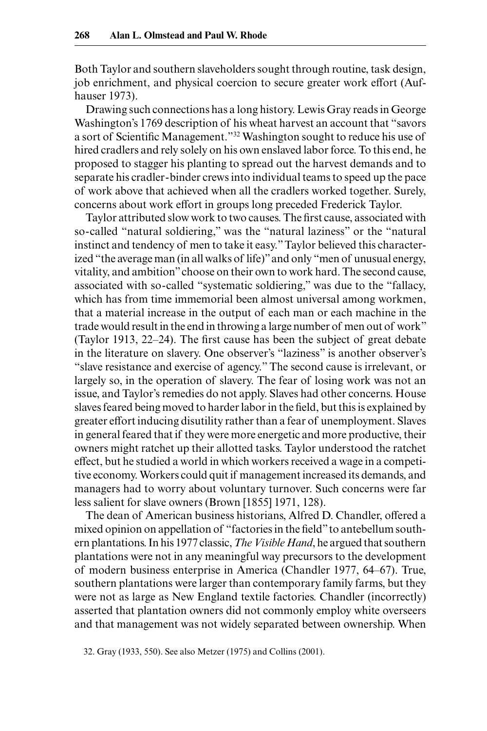Both Taylor and southern slaveholders sought through routine, task design, job enrichment, and physical coercion to secure greater work effort (Aufhauser 1973).

Drawing such connections has a long history. Lewis Gray reads in George Washington's 1769 description of his wheat harvest an account that "savors a sort of Scientific Management."32 Washington sought to reduce his use of hired cradlers and rely solely on his own enslaved labor force. To this end, he proposed to stagger his planting to spread out the harvest demands and to separate his cradler-binder crews into individual teams to speed up the pace of work above that achieved when all the cradlers worked together. Surely, concerns about work effort in groups long preceded Frederick Taylor.

Taylor attributed slow work to two causes. The first cause, associated with so-called "natural soldiering," was the "natural laziness" or the "natural instinct and tendency of men to take it easy." Taylor believed this characterized "the average man (in all walks of life)" and only "men of unusual energy, vitality, and ambition" choose on their own to work hard. The second cause, associated with so-called "systematic soldiering," was due to the "fallacy, which has from time immemorial been almost universal among workmen, that a material increase in the output of each man or each machine in the trade would result in the end in throwing a large number of men out of work" (Taylor 1913, 22‒24). The first cause has been the subject of great debate in the literature on slavery. One observer's "laziness" is another observer's "slave resistance and exercise of agency." The second cause is irrelevant, or largely so, in the operation of slavery. The fear of losing work was not an issue, and Taylor's remedies do not apply. Slaves had other concerns. House slaves feared being moved to harder labor in the field, but this is explained by greater effort inducing disutility rather than a fear of unemployment. Slaves in general feared that if they were more energetic and more productive, their owners might ratchet up their allotted tasks. Taylor understood the ratchet effect, but he studied a world in which workers received a wage in a competitive economy. Workers could quit if management increased its demands, and managers had to worry about voluntary turnover. Such concerns were far less salient for slave owners (Brown [1855] 1971, 128).

The dean of American business historians, Alfred D. Chandler, offered a mixed opinion on appellation of "factories in the field" to antebellum southern plantations. In his 1977 classic, *The Visible Hand*, he argued that southern plantations were not in any meaningful way precursors to the development of modern business enterprise in America (Chandler 1977, 64‒67). True, southern plantations were larger than contemporary family farms, but they were not as large as New England textile factories. Chandler (incorrectly) asserted that plantation owners did not commonly employ white overseers and that management was not widely separated between ownership. When

32. Gray (1933, 550). See also Metzer (1975) and Collins (2001).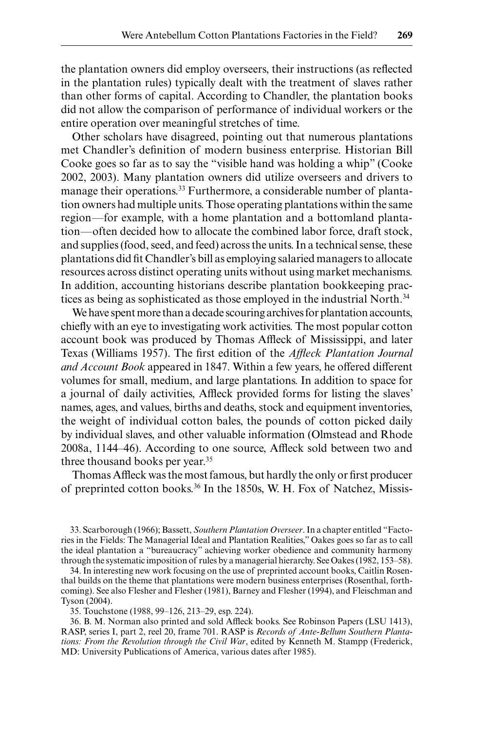the plantation owners did employ overseers, their instructions (as reflected in the plantation rules) typically dealt with the treatment of slaves rather than other forms of capital. According to Chandler, the plantation books did not allow the comparison of performance of individual workers or the entire operation over meaningful stretches of time.

Other scholars have disagreed, pointing out that numerous plantations met Chandler's definition of modern business enterprise. Historian Bill Cooke goes so far as to say the "visible hand was holding a whip" (Cooke 2002, 2003). Many plantation owners did utilize overseers and drivers to manage their operations.<sup>33</sup> Furthermore, a considerable number of plantation owners had multiple units. Those operating plantations within the same region—for example, with a home plantation and a bottomland plantation—often decided how to allocate the combined labor force, draft stock, and supplies (food, seed, and feed) across the units. In a technical sense, these plantations did fit Chandler's bill as employing salaried managers to allocate resources across distinct operating units without using market mechanisms. In addition, accounting historians describe plantation bookkeeping practices as being as sophisticated as those employed in the industrial North.<sup>34</sup>

We have spent more than a decade scouring archives for plantation accounts, chiefly with an eye to investigating work activities. The most popular cotton account book was produced by Thomas Affleck of Mississippi, and later Texas (Williams 1957). The first edition of the *Affleck Plantation Journal and Account Book* appeared in 1847. Within a few years, he offered different volumes for small, medium, and large plantations. In addition to space for a journal of daily activities, Affleck provided forms for listing the slaves' names, ages, and values, births and deaths, stock and equipment inventories, the weight of individual cotton bales, the pounds of cotton picked daily by individual slaves, and other valuable information (Olmstead and Rhode 2008a, 1144‒46). According to one source, Affleck sold between two and three thousand books per year.35

Thomas Affleck was the most famous, but hardly the only or first producer of preprinted cotton books.36 In the 1850s, W. H. Fox of Natchez, Missis-

33. Scarborough (1966); Bassett, *Southern Plantation Overseer*. In a chapter entitled "Factories in the Fields: The Managerial Ideal and Plantation Realities," Oakes goes so far as to call the ideal plantation a "bureaucracy" achieving worker obedience and community harmony through the systematic imposition of rules by a managerial hierarchy. See Oakes (1982, 153–58).

34. In interesting new work focusing on the use of preprinted account books, Caitlin Rosenthal builds on the theme that plantations were modern business enterprises (Rosenthal, forthcoming). See also Flesher and Flesher (1981), Barney and Flesher (1994), and Fleischman and Tyson (2004).

35. Touchstone (1988, 99‒126, 213‒29, esp. 224).

36. B. M. Norman also printed and sold Affleck books. See Robinson Papers (LSU 1413), RASP, series I, part 2, reel 20, frame 701. RASP is *Records of Ante-Bellum Southern Plantations: From the Revolution through the Civil War*, edited by Kenneth M. Stampp (Frederick, MD: University Publications of America, various dates after 1985).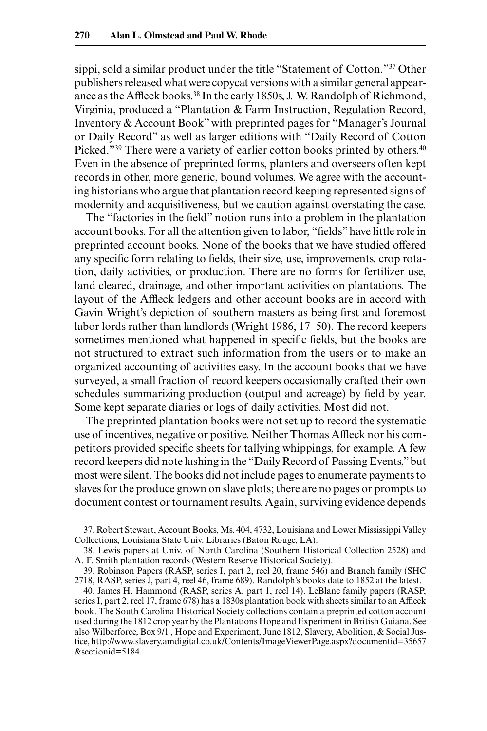sippi, sold a similar product under the title "Statement of Cotton."37 Other publishers released what were copycat versions with a similar general appearance as the Affleck books.<sup>38</sup> In the early 1850s, J. W. Randolph of Richmond, Virginia, produced a "Plantation & Farm Instruction, Regulation Record, Inventory & Account Book" with preprinted pages for "Manager's Journal or Daily Record" as well as larger editions with "Daily Record of Cotton Picked."<sup>39</sup> There were a variety of earlier cotton books printed by others.<sup>40</sup> Even in the absence of preprinted forms, planters and overseers often kept records in other, more generic, bound volumes. We agree with the accounting historians who argue that plantation record keeping represented signs of modernity and acquisitiveness, but we caution against overstating the case.

The "factories in the field" notion runs into a problem in the plantation account books. For all the attention given to labor, "fields" have little role in preprinted account books. None of the books that we have studied offered any specific form relating to fields, their size, use, improvements, crop rotation, daily activities, or production. There are no forms for fertilizer use, land cleared, drainage, and other important activities on plantations. The layout of the Affleck ledgers and other account books are in accord with Gavin Wright's depiction of southern masters as being first and foremost labor lords rather than landlords (Wright 1986, 17-50). The record keepers sometimes mentioned what happened in specific fields, but the books are not structured to extract such information from the users or to make an organized accounting of activities easy. In the account books that we have surveyed, a small fraction of record keepers occasionally crafted their own schedules summarizing production (output and acreage) by field by year. Some kept separate diaries or logs of daily activities. Most did not.

The preprinted plantation books were not set up to record the systematic use of incentives, negative or positive. Neither Thomas Affleck nor his competitors provided specific sheets for tallying whippings, for example. A few record keepers did note lashing in the "Daily Record of Passing Events," but most were silent. The books did not include pages to enumerate payments to slaves for the produce grown on slave plots; there are no pages or prompts to document contest or tournament results. Again, surviving evidence depends

37. Robert Stewart, Account Books, Ms. 404, 4732, Louisiana and Lower Mississippi Valley Collections, Louisiana State Univ. Libraries (Baton Rouge, LA).

38. Lewis papers at Univ. of North Carolina (Southern Historical Collection 2528) and A. F. Smith plantation records (Western Reserve Historical Society).

39. Robinson Papers (RASP, series I, part 2, reel 20, frame 546) and Branch family (SHC 2718, RASP, series J, part 4, reel 46, frame 689). Randolph's books date to 1852 at the latest.

40. James H. Hammond (RASP, series A, part 1, reel 14). LeBlanc family papers (RASP, series I, part 2, reel 17, frame 678) has a 1830s plantation book with sheets similar to an Affleck book. The South Carolina Historical Society collections contain a preprinted cotton account used during the 1812 crop year by the Plantations Hope and Experiment in British Guiana. See also Wilberforce, Box 9/1 , Hope and Experiment, June 1812, Slavery, Abolition, & Social Justice, http://www.slavery.amdigital.co.uk/Contents/ImageViewerPage.aspx?documentid=35657 &sectionid=5184.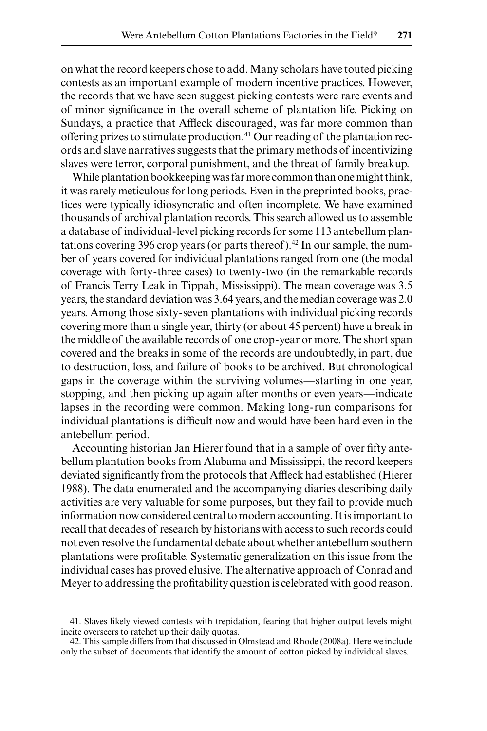on what the record keepers chose to add. Many scholars have touted picking contests as an important example of modern incentive practices. However, the records that we have seen suggest picking contests were rare events and of minor significance in the overall scheme of plantation life. Picking on Sundays, a practice that Affleck discouraged, was far more common than offering prizes to stimulate production.41 Our reading of the plantation records and slave narratives suggests that the primary methods of incentivizing slaves were terror, corporal punishment, and the threat of family breakup.

While plantation bookkeeping was far more common than one might think, it was rarely meticulous for long periods. Even in the preprinted books, practices were typically idiosyncratic and often incomplete. We have examined thousands of archival plantation records. This search allowed us to assemble a database of individual-level picking records for some 113 antebellum plantations covering 396 crop years (or parts thereof).<sup>42</sup> In our sample, the number of years covered for individual plantations ranged from one (the modal coverage with forty-three cases) to twenty-two (in the remarkable records of Francis Terry Leak in Tippah, Mississippi). The mean coverage was 3.5 years, the standard deviation was 3.64 years, and the median coverage was 2.0 years. Among those sixty-seven plantations with individual picking records covering more than a single year, thirty (or about 45 percent) have a break in the middle of the available records of one crop-year or more. The short span covered and the breaks in some of the records are undoubtedly, in part, due to destruction, loss, and failure of books to be archived. But chronological gaps in the coverage within the surviving volumes—starting in one year, stopping, and then picking up again after months or even years—indicate lapses in the recording were common. Making long-run comparisons for individual plantations is difficult now and would have been hard even in the antebellum period.

Accounting historian Jan Hierer found that in a sample of over fifty antebellum plantation books from Alabama and Mississippi, the record keepers deviated significantly from the protocols that Affleck had established (Hierer 1988). The data enumerated and the accompanying diaries describing daily activities are very valuable for some purposes, but they fail to provide much information now considered central to modern accounting. It is important to recall that decades of research by historians with access to such records could not even resolve the fundamental debate about whether antebellum southern plantations were profitable. Systematic generalization on this issue from the individual cases has proved elusive. The alternative approach of Conrad and Meyer to addressing the profitability question is celebrated with good reason.

<sup>41.</sup> Slaves likely viewed contests with trepidation, fearing that higher output levels might incite overseers to ratchet up their daily quotas.

<sup>42.</sup> This sample differs from that discussed in Olmstead and Rhode (2008a). Here we include only the subset of documents that identify the amount of cotton picked by individual slaves.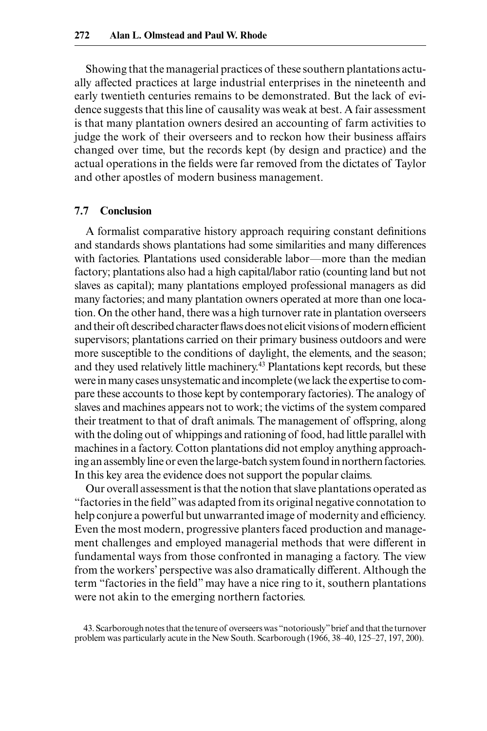Showing that the managerial practices of these southern plantations actually affected practices at large industrial enterprises in the nineteenth and early twentieth centuries remains to be demonstrated. But the lack of evidence suggests that this line of causality was weak at best. A fair assessment is that many plantation owners desired an accounting of farm activities to judge the work of their overseers and to reckon how their business affairs changed over time, but the records kept (by design and practice) and the actual operations in the fields were far removed from the dictates of Taylor and other apostles of modern business management.

## **7.7 Conclusion**

A formalist comparative history approach requiring constant definitions and standards shows plantations had some similarities and many differences with factories. Plantations used considerable labor—more than the median factory; plantations also had a high capital/labor ratio (counting land but not slaves as capital); many plantations employed professional managers as did many factories; and many plantation owners operated at more than one location. On the other hand, there was a high turnover rate in plantation overseers and their oft described character flaws does not elicit visions of modern efficient supervisors; plantations carried on their primary business outdoors and were more susceptible to the conditions of daylight, the elements, and the season; and they used relatively little machinery.43 Plantations kept records, but these were in many cases unsystematic and incomplete (we lack the expertise to compare these accounts to those kept by contemporary factories). The analogy of slaves and machines appears not to work; the victims of the system compared their treatment to that of draft animals. The management of offspring, along with the doling out of whippings and rationing of food, had little parallel with machines in a factory. Cotton plantations did not employ anything approaching an assembly line or even the large-batch system found in northern factories. In this key area the evidence does not support the popular claims.

Our overall assessment is that the notion that slave plantations operated as "factories in the field" was adapted from its original negative connotation to help conjure a powerful but unwarranted image of modernity and efficiency. Even the most modern, progressive planters faced production and management challenges and employed managerial methods that were different in fundamental ways from those confronted in managing a factory. The view from the workers' perspective was also dramatically different. Although the term "factories in the field" may have a nice ring to it, southern plantations were not akin to the emerging northern factories.

43. Scarborough notes that the tenure of overseers was "notoriously" brief and that the turnover problem was particularly acute in the New South. Scarborough (1966, 38–40, 125–27, 197, 200).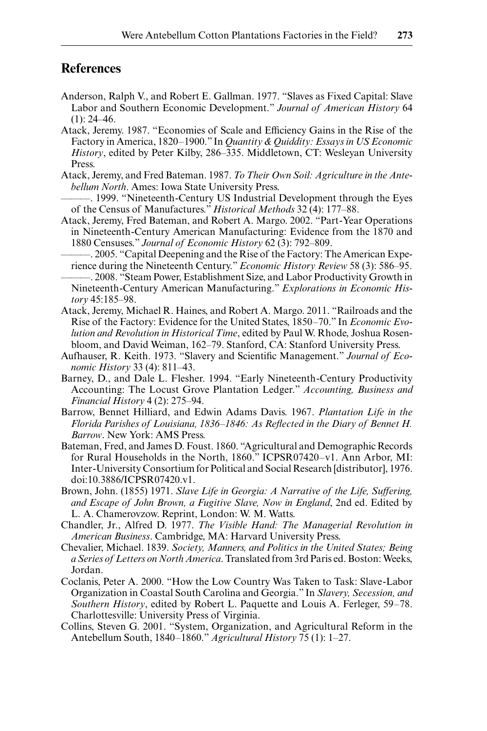## **References**

- Anderson, Ralph V., and Robert E. Gallman. 1977. "Slaves as Fixed Capital: Slave Labor and Southern Economic Development." *Journal of American History* 64  $(1): 24-46.$
- Atack, Jeremy. 1987. "Economies of Scale and Efficiency Gains in the Rise of the Factory in America, 1820–1900." In *Quantity & Quiddity: Essays in US Economic History*, edited by Peter Kilby, 286‒335. Middletown, CT: Wesleyan University Press.
- Atack, Jeremy, and Fred Bateman. 1987. *To Their Own Soil: Agriculture in the Antebellum North*. Ames: Iowa State University Press.
- ———. 1999. "Nineteenth-Century US Industrial Development through the Eyes of the Census of Manufactures." *Historical Methods* 32 (4): 177‒88.
- Atack, Jeremy, Fred Bateman, and Robert A. Margo. 2002. "Part-Year Operations in Nineteenth-Century American Manufacturing: Evidence from the 1870 and 1880 Censuses." *Journal of Economic History* 62 (3): 792‒809.
	- ———. 2005. "Capital Deepening and the Rise of the Factory: The American Experience during the Nineteenth Century." *Economic History Review* 58 (3): 586–95.
- ———. 2008. "Steam Power, Establishment Size, and Labor Productivity Growth in Nineteenth-Century American Manufacturing." *Explorations in Economic History* 45:185‒98.
- Atack, Jeremy, Michael R. Haines, and Robert A. Margo. 2011. "Railroads and the Rise of the Factory: Evidence for the United States, 1850–70." In *Economic Evolution and Revolution in Historical Time*, edited by Paul W. Rhode, Joshua Rosenbloom, and David Weiman, 162-79. Stanford, CA: Stanford University Press.
- Aufhauser, R. Keith. 1973. "Slavery and Scientific Management." *Journal of Economic History* 33 (4): 811‒43.
- Barney, D., and Dale L. Flesher. 1994. "Early Nineteenth-Century Productivity Accounting: The Locust Grove Plantation Ledger." *Accounting, Business and Financial History* 4 (2): 275‒94.
- Barrow, Bennet Hilliard, and Edwin Adams Davis. 1967. *Plantation Life in the*  Florida Parishes of Louisiana, 1836-1846: As Reflected in the Diary of Bennet H. *Barrow*. New York: AMS Press.
- Bateman, Fred, and James D. Foust. 1860. "Agricultural and Demographic Records for Rural Households in the North, 1860." ICPSR07420–v1. Ann Arbor, MI: Inter-University Consortium for Political and Social Research [distributor], 1976. doi:10.3886/ICPSR07420.v1.
- Brown, John. (1855) 1971. *Slave Life in Georgia: A Narrative of the Life, Suffering, and Escape of John Brown, a Fugitive Slave, Now in England*, 2nd ed. Edited by L. A. Chamerovzow. Reprint, London: W. M. Watts.
- Chandler, Jr., Alfred D. 1977. *The Visible Hand: The Managerial Revolution in American Business*. Cambridge, MA: Harvard University Press.
- Chevalier, Michael. 1839. *Society, Manners, and Politics in the United States; Being a Series of Letters on North America*. Translated from 3rd Paris ed. Boston: Weeks, Jordan.
- Coclanis, Peter A. 2000. "How the Low Country Was Taken to Task: Slave-Labor Organization in Coastal South Carolina and Georgia." In *Slavery, Secession, and Southern History*, edited by Robert L. Paquette and Louis A. Ferleger, 59–78. Charlottesville: University Press of Virginia.
- Collins, Steven G. 2001. "System, Organization, and Agricultural Reform in the Antebellum South, 1840–1860." *Agricultural History* 75 (1): 1‒27.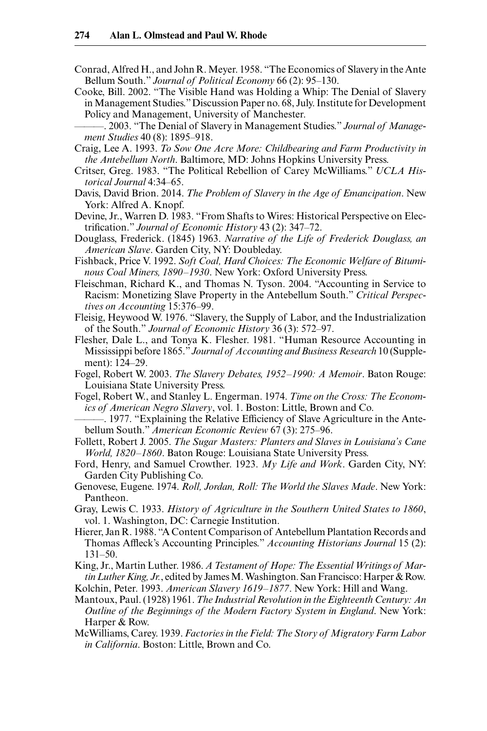- Conrad, Alfred H., and John R. Meyer. 1958. "The Economics of Slavery in the Ante Bellum South." *Journal of Political Economy* 66 (2): 95–130.
- Cooke, Bill. 2002. "The Visible Hand was Holding a Whip: The Denial of Slavery in Management Studies." Discussion Paper no. 68, July. Institute for Development Policy and Management, University of Manchester.
- ———. 2003. "The Denial of Slavery in Management Studies." *Journal of Management Studies* 40 (8): 1895‒918.
- Craig, Lee A. 1993. *To Sow One Acre More: Childbearing and Farm Productivity in the Antebellum North*. Baltimore, MD: Johns Hopkins University Press.
- Critser, Greg. 1983. "The Political Rebellion of Carey McWilliams." *UCLA Historical Journal* 4:34‒65.
- Davis, David Brion. 2014. *The Problem of Slavery in the Age of Emancipation*. New York: Alfred A. Knopf.
- Devine, Jr., Warren D. 1983. "From Shafts to Wires: Historical Perspective on Electrification." *Journal of Economic History* 43 (2): 347-72.
- Douglass, Frederick. (1845) 1963. *Narrative of the Life of Frederick Douglass, an American Slave*. Garden City, NY: Doubleday.
- Fishback, Price V. 1992. *Soft Coal, Hard Choices: The Economic Welfare of Bituminous Coal Miners, 1890–1930*. New York: Oxford University Press.
- Fleischman, Richard K., and Thomas N. Tyson. 2004. "Accounting in Service to Racism: Monetizing Slave Property in the Antebellum South." *Critical Perspectives on Accounting* 15:376‒99.
- Fleisig, Heywood W. 1976. "Slavery, the Supply of Labor, and the Industrialization of the South." *Journal of Economic History* 36 (3): 572‒97.
- Flesher, Dale L., and Tonya K. Flesher. 1981. "Human Resource Accounting in Mississippi before 1865." *Journal of Accounting and Business Research* 10 (Supplement): 124‒29.
- Fogel, Robert W. 2003. *The Slavery Debates, 1952–1990: A Memoir*. Baton Rouge: Louisiana State University Press.
- Fogel, Robert W., and Stanley L. Engerman. 1974. *Time on the Cross: The Economics of American Negro Slavery*, vol. 1. Boston: Little, Brown and Co.
- –. 1977. "Explaining the Relative Efficiency of Slave Agriculture in the Antebellum South." *American Economic Review* 67 (3): 275–96.
- Follett, Robert J. 2005. *The Sugar Masters: Planters and Slaves in Louisiana's Cane World, 1820–1860*. Baton Rouge: Louisiana State University Press.
- Ford, Henry, and Samuel Crowther. 1923. *My Life and Work*. Garden City, NY: Garden City Publishing Co.
- Genovese, Eugene. 1974. *Roll, Jordan, Roll: The World the Slaves Made*. New York: Pantheon.
- Gray, Lewis C. 1933. *History of Agriculture in the Southern United States to 1860*, vol. 1. Washington, DC: Carnegie Institution.
- Hierer, Jan R. 1988. "A Content Comparison of Antebellum Plantation Records and Thomas Affleck's Accounting Principles." *Accounting Historians Journal* 15 (2): 131‒50.
- King, Jr., Martin Luther. 1986. *A Testament of Hope: The Essential Writings of Martin Luther King, Jr.*, edited by James M. Washington. San Francisco: Harper & Row. Kolchin, Peter. 1993. *American Slavery 1619–1877*. New York: Hill and Wang.
- Mantoux, Paul. (1928) 1961.*The Industrial Revolution in the Eighteenth Century: An Outline of the Beginnings of the Modern Factory System in England*. New York: Harper & Row.
- McWilliams, Carey. 1939. *Factories in the Field: The Story of Migratory Farm Labor in California*. Boston: Little, Brown and Co.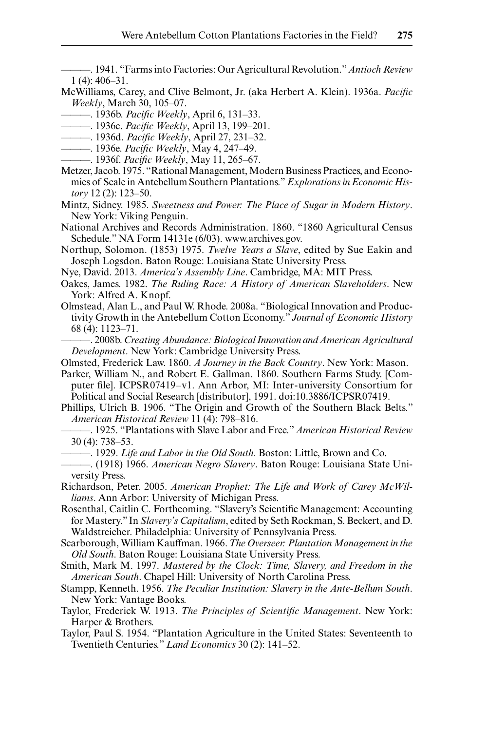———. 1941. "Farms into Factories: Our Agricultural Revolution." *Antioch Review* 1 (4): 406‒31.

- McWilliams, Carey, and Clive Belmont, Jr. (aka Herbert A. Klein). 1936a. *Pacific Weekly*, March 30, 105‒07.
	- ———. 1936b. *Pacific Weekly*, April 6, 131‒33.
- ————. 1936c. *Pacific Weekly*, April 13, 199–201.
- ———. 1936d. *Pacific Weekly*, April 27, 231‒32.
- ———. 1936e. *Pacific Weekly*, May 4, 247‒49.
- ———. 1936f. *Pacific Weekly*, May 11, 265‒67.
- Metzer, Jacob. 1975. "Rational Management, Modern Business Practices, and Economies of Scale in Antebellum Southern Plantations." *Explorations in Economic History* 12 (2): 123‒50.
- Mintz, Sidney. 1985. *Sweetness and Power: The Place of Sugar in Modern History*. New York: Viking Penguin.
- National Archives and Records Administration. 1860. "1860 Agricultural Census Schedule." NA Form 14131e (6/03). www.archives.gov.
- Northup, Solomon. (1853) 1975. *Twelve Years a Slave*, edited by Sue Eakin and Joseph Logsdon. Baton Rouge: Louisiana State University Press.
- Nye, David. 2013. *America's Assembly Line*. Cambridge, MA: MIT Press.
- Oakes, James. 1982. *The Ruling Race: A History of American Slaveholders*. New York: Alfred A. Knopf.
- Olmstead, Alan L., and Paul W. Rhode. 2008a. "Biological Innovation and Productivity Growth in the Antebellum Cotton Economy." *Journal of Economic History* 68 (4): 1123‒71.
- ———. 2008b. *Creating Abundance: Biological Innovation and American Agricultural Development*. New York: Cambridge University Press.

Olmsted, Frederick Law. 1860. *A Journey in the Back Country*. New York: Mason.

- Parker, William N., and Robert E. Gallman. 1860. Southern Farms Study. [Computer file]. ICPSR07419–v1. Ann Arbor, MI: Inter-university Consortium for Political and Social Research [distributor], 1991. doi:10.3886/ICPSR07419.
- Phillips, Ulrich B. 1906. "The Origin and Growth of the Southern Black Belts." *American Historical Review* 11 (4): 798‒816.
- ———. 1925. "Plantations with Slave Labor and Free." *American Historical Review* 30 (4): 738‒53.
	- ———. 1929. *Life and Labor in the Old South*. Boston: Little, Brown and Co.
- ———. (1918) 1966. *American Negro Slavery*. Baton Rouge: Louisiana State University Press.
- Richardson, Peter. 2005. *American Prophet: The Life and Work of Carey McWilliams*. Ann Arbor: University of Michigan Press.
- Rosenthal, Caitlin C. Forthcoming. "Slavery's Scientific Management: Accounting for Mastery." In *Slavery's Capitalism*, edited by Seth Rockman, S. Beckert, and D. Waldstreicher. Philadelphia: University of Pennsylvania Press.
- Scarborough, William Kauffman. 1966. *The Overseer: Plantation Management in the Old South*. Baton Rouge: Louisiana State University Press.
- Smith, Mark M. 1997. *Mastered by the Clock: Time, Slavery, and Freedom in the American South*. Chapel Hill: University of North Carolina Press.
- Stampp, Kenneth. 1956. *The Peculiar Institution: Slavery in the Ante-Bellum South*. New York: Vantage Books.
- Taylor, Frederick W. 1913. *The Principles of Scientific Management*. New York: Harper & Brothers.
- Taylor, Paul S. 1954. "Plantation Agriculture in the United States: Seventeenth to Twentieth Centuries." *Land Economics* 30 (2): 141‒52.